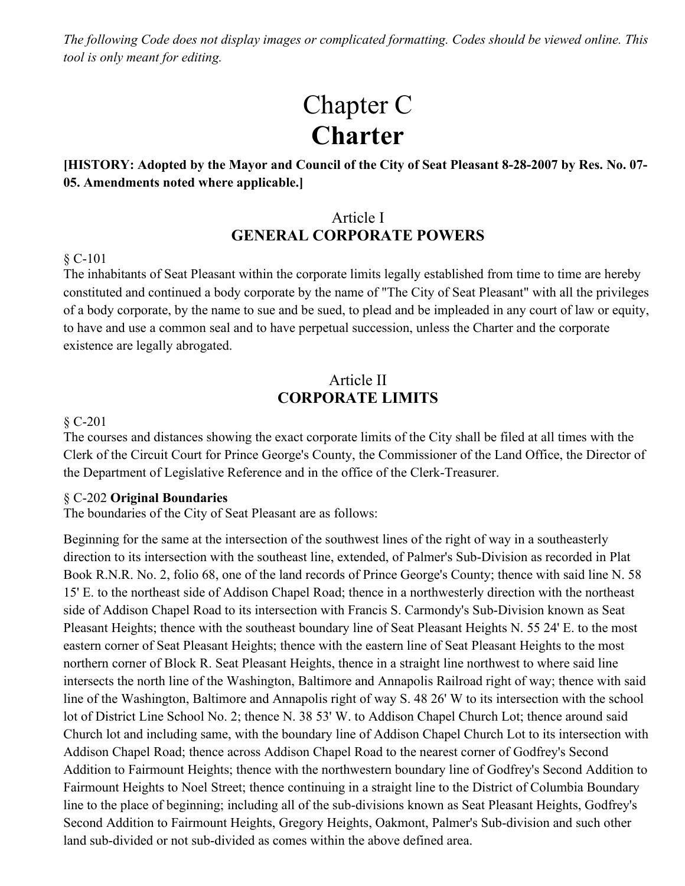*The following Code does not display images or complicated formatting. Codes should be viewed online. This tool is only meant for editing.*

# Chapter C **Charter**

**[HISTORY: Adopted by the Mayor and Council of the City of Seat Pleasant 8-28-2007 by Res. No. 07- 05. Amendments noted where applicable.]**

# Article I **GENERAL CORPORATE POWERS**

#### § C-101

The inhabitants of Seat Pleasant within the corporate limits legally established from time to time are hereby constituted and continued a body corporate by the name of "The City of Seat Pleasant" with all the privileges of a body corporate, by the name to sue and be sued, to plead and be impleaded in any court of law or equity, to have and use a common seal and to have perpetual succession, unless the Charter and the corporate existence are legally abrogated.

### Article II **CORPORATE LIMITS**

#### § C-201

The courses and distances showing the exact corporate limits of the City shall be filed at all times with the Clerk of the Circuit Court for Prince George's County, the Commissioner of the Land Office, the Director of the Department of Legislative Reference and in the office of the Clerk-Treasurer.

#### § C-202 **Original Boundaries**

The boundaries of the City of Seat Pleasant are as follows:

Beginning for the same at the intersection of the southwest lines of the right of way in a southeasterly direction to its intersection with the southeast line, extended, of Palmer's Sub-Division as recorded in Plat Book R.N.R. No. 2, folio 68, one of the land records of Prince George's County; thence with said line N. 58 15' E. to the northeast side of Addison Chapel Road; thence in a northwesterly direction with the northeast side of Addison Chapel Road to its intersection with Francis S. Carmondy's Sub-Division known as Seat Pleasant Heights; thence with the southeast boundary line of Seat Pleasant Heights N. 55 24' E. to the most eastern corner of Seat Pleasant Heights; thence with the eastern line of Seat Pleasant Heights to the most northern corner of Block R. Seat Pleasant Heights, thence in a straight line northwest to where said line intersects the north line of the Washington, Baltimore and Annapolis Railroad right of way; thence with said line of the Washington, Baltimore and Annapolis right of way S. 48 26' W to its intersection with the school lot of District Line School No. 2; thence N. 38 53' W. to Addison Chapel Church Lot; thence around said Church lot and including same, with the boundary line of Addison Chapel Church Lot to its intersection with Addison Chapel Road; thence across Addison Chapel Road to the nearest corner of Godfrey's Second Addition to Fairmount Heights; thence with the northwestern boundary line of Godfrey's Second Addition to Fairmount Heights to Noel Street; thence continuing in a straight line to the District of Columbia Boundary line to the place of beginning; including all of the sub-divisions known as Seat Pleasant Heights, Godfrey's Second Addition to Fairmount Heights, Gregory Heights, Oakmont, Palmer's Sub-division and such other land sub-divided or not sub-divided as comes within the above defined area.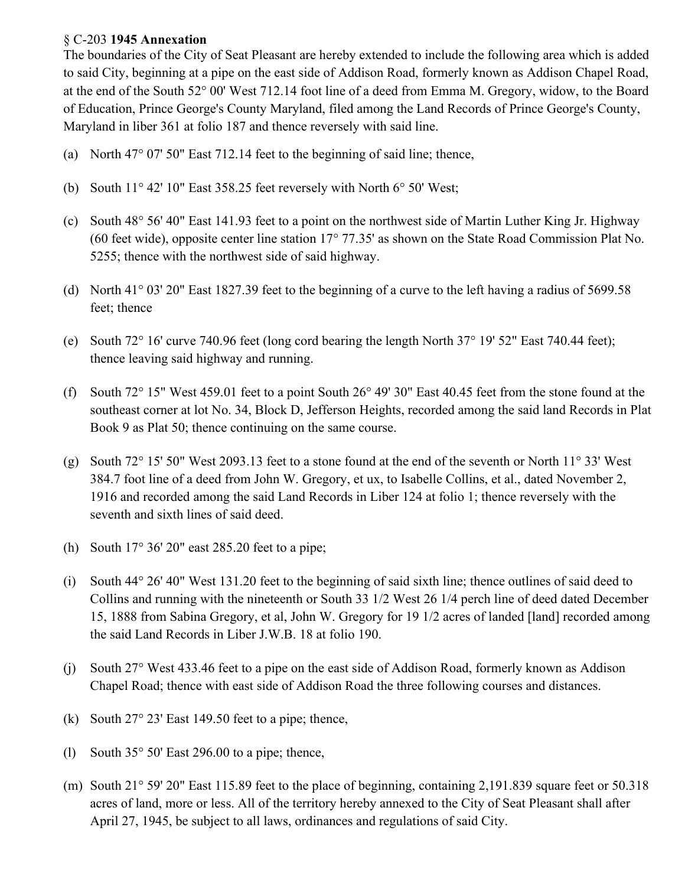#### § C-203 **1945 Annexation**

The boundaries of the City of Seat Pleasant are hereby extended to include the following area which is added to said City, beginning at a pipe on the east side of Addison Road, formerly known as Addison Chapel Road, at the end of the South 52° 00' West 712.14 foot line of a deed from Emma M. Gregory, widow, to the Board of Education, Prince George's County Maryland, filed among the Land Records of Prince George's County, Maryland in liber 361 at folio 187 and thence reversely with said line.

- (a) North 47° 07' 50" East 712.14 feet to the beginning of said line; thence,
- (b) South 11° 42' 10" East 358.25 feet reversely with North 6° 50' West;
- (c) South 48° 56' 40" East 141.93 feet to a point on the northwest side of Martin Luther King Jr. Highway (60 feet wide), opposite center line station 17° 77.35' as shown on the State Road Commission Plat No. 5255; thence with the northwest side of said highway.
- (d) North 41° 03' 20" East 1827.39 feet to the beginning of a curve to the left having a radius of 5699.58 feet; thence
- (e) South 72° 16' curve 740.96 feet (long cord bearing the length North 37° 19' 52" East 740.44 feet); thence leaving said highway and running.
- (f) South 72° 15" West 459.01 feet to a point South 26° 49' 30" East 40.45 feet from the stone found at the southeast corner at lot No. 34, Block D, Jefferson Heights, recorded among the said land Records in Plat Book 9 as Plat 50; thence continuing on the same course.
- (g) South 72° 15' 50" West 2093.13 feet to a stone found at the end of the seventh or North 11° 33' West 384.7 foot line of a deed from John W. Gregory, et ux, to Isabelle Collins, et al., dated November 2, 1916 and recorded among the said Land Records in Liber 124 at folio 1; thence reversely with the seventh and sixth lines of said deed.
- (h) South 17° 36' 20" east 285.20 feet to a pipe;
- (i) South 44° 26' 40" West 131.20 feet to the beginning of said sixth line; thence outlines of said deed to Collins and running with the nineteenth or South 33 1/2 West 26 1/4 perch line of deed dated December 15, 1888 from Sabina Gregory, et al, John W. Gregory for 19 1/2 acres of landed [land] recorded among the said Land Records in Liber J.W.B. 18 at folio 190.
- (j) South 27° West 433.46 feet to a pipe on the east side of Addison Road, formerly known as Addison Chapel Road; thence with east side of Addison Road the three following courses and distances.
- (k) South  $27^{\circ}$  23' East 149.50 feet to a pipe; thence,
- (1) South  $35^{\circ}$  50' East 296.00 to a pipe; thence,
- (m) South 21° 59' 20" East 115.89 feet to the place of beginning, containing 2,191.839 square feet or 50.318 acres of land, more or less. All of the territory hereby annexed to the City of Seat Pleasant shall after April 27, 1945, be subject to all laws, ordinances and regulations of said City.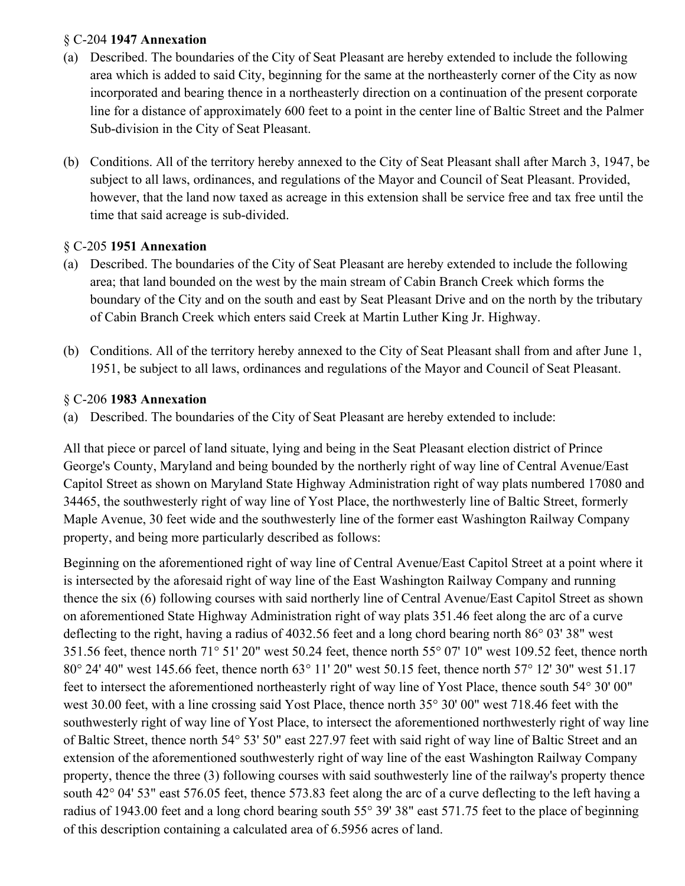### § C-204 **1947 Annexation**

- (a) Described. The boundaries of the City of Seat Pleasant are hereby extended to include the following area which is added to said City, beginning for the same at the northeasterly corner of the City as now incorporated and bearing thence in a northeasterly direction on a continuation of the present corporate line for a distance of approximately 600 feet to a point in the center line of Baltic Street and the Palmer Sub-division in the City of Seat Pleasant.
- (b) Conditions. All of the territory hereby annexed to the City of Seat Pleasant shall after March 3, 1947, be subject to all laws, ordinances, and regulations of the Mayor and Council of Seat Pleasant. Provided, however, that the land now taxed as acreage in this extension shall be service free and tax free until the time that said acreage is sub-divided.

### § C-205 **1951 Annexation**

- (a) Described. The boundaries of the City of Seat Pleasant are hereby extended to include the following area; that land bounded on the west by the main stream of Cabin Branch Creek which forms the boundary of the City and on the south and east by Seat Pleasant Drive and on the north by the tributary of Cabin Branch Creek which enters said Creek at Martin Luther King Jr. Highway.
- (b) Conditions. All of the territory hereby annexed to the City of Seat Pleasant shall from and after June 1, 1951, be subject to all laws, ordinances and regulations of the Mayor and Council of Seat Pleasant.

### § C-206 **1983 Annexation**

(a) Described. The boundaries of the City of Seat Pleasant are hereby extended to include:

All that piece or parcel of land situate, lying and being in the Seat Pleasant election district of Prince George's County, Maryland and being bounded by the northerly right of way line of Central Avenue/East Capitol Street as shown on Maryland State Highway Administration right of way plats numbered 17080 and 34465, the southwesterly right of way line of Yost Place, the northwesterly line of Baltic Street, formerly Maple Avenue, 30 feet wide and the southwesterly line of the former east Washington Railway Company property, and being more particularly described as follows:

Beginning on the aforementioned right of way line of Central Avenue/East Capitol Street at a point where it is intersected by the aforesaid right of way line of the East Washington Railway Company and running thence the six (6) following courses with said northerly line of Central Avenue/East Capitol Street as shown on aforementioned State Highway Administration right of way plats 351.46 feet along the arc of a curve deflecting to the right, having a radius of 4032.56 feet and a long chord bearing north 86° 03' 38" west 351.56 feet, thence north 71° 51' 20" west 50.24 feet, thence north 55° 07' 10" west 109.52 feet, thence north 80° 24' 40" west 145.66 feet, thence north 63° 11' 20" west 50.15 feet, thence north 57° 12' 30" west 51.17 feet to intersect the aforementioned northeasterly right of way line of Yost Place, thence south 54° 30' 00" west 30.00 feet, with a line crossing said Yost Place, thence north 35° 30' 00" west 718.46 feet with the southwesterly right of way line of Yost Place, to intersect the aforementioned northwesterly right of way line of Baltic Street, thence north 54° 53' 50" east 227.97 feet with said right of way line of Baltic Street and an extension of the aforementioned southwesterly right of way line of the east Washington Railway Company property, thence the three (3) following courses with said southwesterly line of the railway's property thence south 42° 04' 53" east 576.05 feet, thence 573.83 feet along the arc of a curve deflecting to the left having a radius of 1943.00 feet and a long chord bearing south 55° 39' 38" east 571.75 feet to the place of beginning of this description containing a calculated area of 6.5956 acres of land.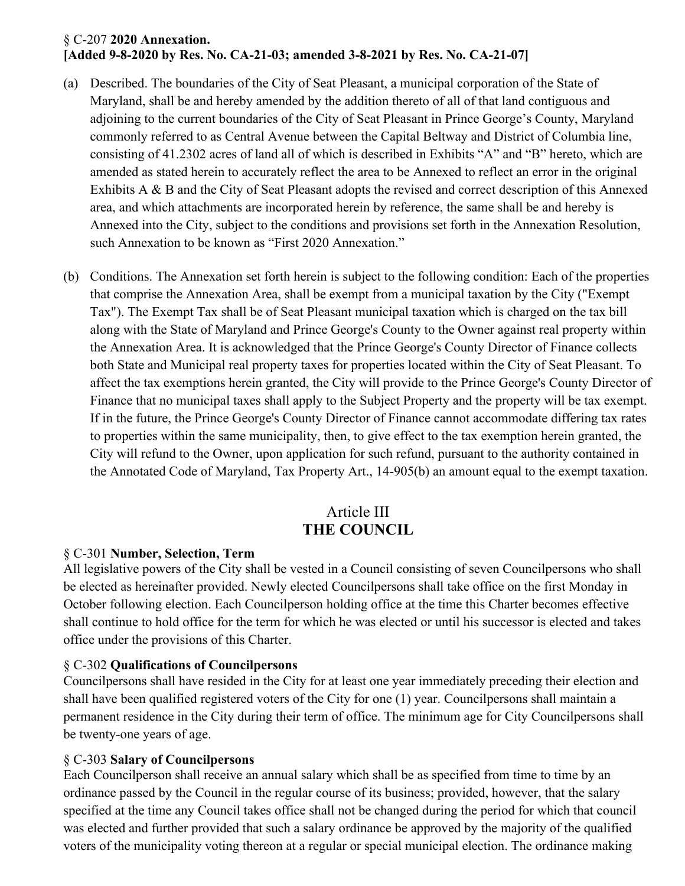#### § C-207 **2020 Annexation. [Added 9-8-2020 by Res. No. CA-21-03; amended 3-8-2021 by Res. No. CA-21-07]**

- (a) Described. The boundaries of the City of Seat Pleasant, a municipal corporation of the State of Maryland, shall be and hereby amended by the addition thereto of all of that land contiguous and adjoining to the current boundaries of the City of Seat Pleasant in Prince George's County, Maryland commonly referred to as Central Avenue between the Capital Beltway and District of Columbia line, consisting of 41.2302 acres of land all of which is described in Exhibits "A" and "B" hereto, which are amended as stated herein to accurately reflect the area to be Annexed to reflect an error in the original Exhibits A & B and the City of Seat Pleasant adopts the revised and correct description of this Annexed area, and which attachments are incorporated herein by reference, the same shall be and hereby is Annexed into the City, subject to the conditions and provisions set forth in the Annexation Resolution, such Annexation to be known as "First 2020 Annexation."
- (b) Conditions. The Annexation set forth herein is subject to the following condition: Each of the properties that comprise the Annexation Area, shall be exempt from a municipal taxation by the City ("Exempt Tax"). The Exempt Tax shall be of Seat Pleasant municipal taxation which is charged on the tax bill along with the State of Maryland and Prince George's County to the Owner against real property within the Annexation Area. It is acknowledged that the Prince George's County Director of Finance collects both State and Municipal real property taxes for properties located within the City of Seat Pleasant. To affect the tax exemptions herein granted, the City will provide to the Prince George's County Director of Finance that no municipal taxes shall apply to the Subject Property and the property will be tax exempt. If in the future, the Prince George's County Director of Finance cannot accommodate differing tax rates to properties within the same municipality, then, to give effect to the tax exemption herein granted, the City will refund to the Owner, upon application for such refund, pursuant to the authority contained in the Annotated Code of Maryland, Tax Property Art., 14-905(b) an amount equal to the exempt taxation.

# Article III **THE COUNCIL**

### § C-301 **Number, Selection, Term**

All legislative powers of the City shall be vested in a Council consisting of seven Councilpersons who shall be elected as hereinafter provided. Newly elected Councilpersons shall take office on the first Monday in October following election. Each Councilperson holding office at the time this Charter becomes effective shall continue to hold office for the term for which he was elected or until his successor is elected and takes office under the provisions of this Charter.

### § C-302 **Qualifications of Councilpersons**

Councilpersons shall have resided in the City for at least one year immediately preceding their election and shall have been qualified registered voters of the City for one (1) year. Councilpersons shall maintain a permanent residence in the City during their term of office. The minimum age for City Councilpersons shall be twenty-one years of age.

### § C-303 **Salary of Councilpersons**

Each Councilperson shall receive an annual salary which shall be as specified from time to time by an ordinance passed by the Council in the regular course of its business; provided, however, that the salary specified at the time any Council takes office shall not be changed during the period for which that council was elected and further provided that such a salary ordinance be approved by the majority of the qualified voters of the municipality voting thereon at a regular or special municipal election. The ordinance making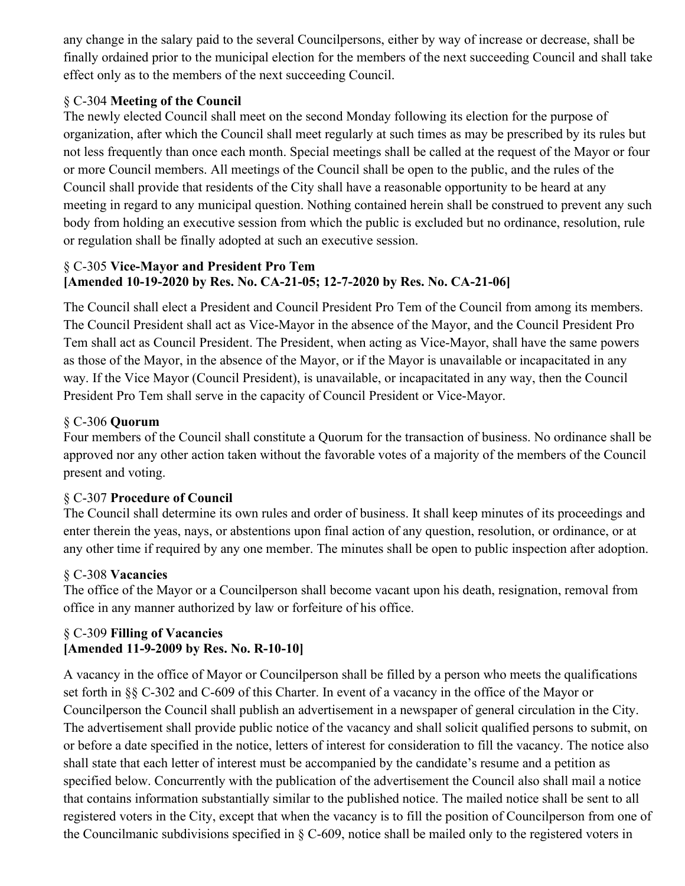any change in the salary paid to the several Councilpersons, either by way of increase or decrease, shall be finally ordained prior to the municipal election for the members of the next succeeding Council and shall take effect only as to the members of the next succeeding Council.

### § C-304 **Meeting of the Council**

The newly elected Council shall meet on the second Monday following its election for the purpose of organization, after which the Council shall meet regularly at such times as may be prescribed by its rules but not less frequently than once each month. Special meetings shall be called at the request of the Mayor or four or more Council members. All meetings of the Council shall be open to the public, and the rules of the Council shall provide that residents of the City shall have a reasonable opportunity to be heard at any meeting in regard to any municipal question. Nothing contained herein shall be construed to prevent any such body from holding an executive session from which the public is excluded but no ordinance, resolution, rule or regulation shall be finally adopted at such an executive session.

### § C-305 **Vice-Mayor and President Pro Tem [Amended 10-19-2020 by Res. No. CA-21-05; 12-7-2020 by Res. No. CA-21-06]**

The Council shall elect a President and Council President Pro Tem of the Council from among its members. The Council President shall act as Vice-Mayor in the absence of the Mayor, and the Council President Pro Tem shall act as Council President. The President, when acting as Vice-Mayor, shall have the same powers as those of the Mayor, in the absence of the Mayor, or if the Mayor is unavailable or incapacitated in any way. If the Vice Mayor (Council President), is unavailable, or incapacitated in any way, then the Council President Pro Tem shall serve in the capacity of Council President or Vice-Mayor.

### § C-306 **Quorum**

Four members of the Council shall constitute a Quorum for the transaction of business. No ordinance shall be approved nor any other action taken without the favorable votes of a majority of the members of the Council present and voting.

### § C-307 **Procedure of Council**

The Council shall determine its own rules and order of business. It shall keep minutes of its proceedings and enter therein the yeas, nays, or abstentions upon final action of any question, resolution, or ordinance, or at any other time if required by any one member. The minutes shall be open to public inspection after adoption.

### § C-308 **Vacancies**

The office of the Mayor or a Councilperson shall become vacant upon his death, resignation, removal from office in any manner authorized by law or forfeiture of his office.

### § C-309 **Filling of Vacancies [Amended 11-9-2009 by Res. No. R-10-10]**

A vacancy in the office of Mayor or Councilperson shall be filled by a person who meets the qualifications set forth in §§ C-302 and C-609 of this Charter. In event of a vacancy in the office of the Mayor or Councilperson the Council shall publish an advertisement in a newspaper of general circulation in the City. The advertisement shall provide public notice of the vacancy and shall solicit qualified persons to submit, on or before a date specified in the notice, letters of interest for consideration to fill the vacancy. The notice also shall state that each letter of interest must be accompanied by the candidate's resume and a petition as specified below. Concurrently with the publication of the advertisement the Council also shall mail a notice that contains information substantially similar to the published notice. The mailed notice shall be sent to all registered voters in the City, except that when the vacancy is to fill the position of Councilperson from one of the Councilmanic subdivisions specified in § C-609, notice shall be mailed only to the registered voters in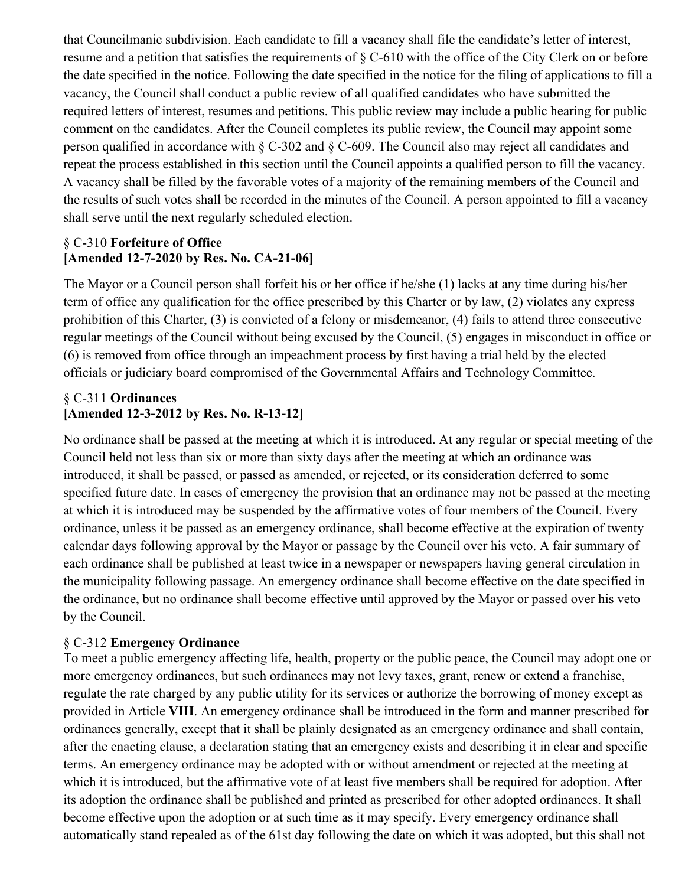that Councilmanic subdivision. Each candidate to fill a vacancy shall file the candidate's letter of interest, resume and a petition that satisfies the requirements of § C-610 with the office of the City Clerk on or before the date specified in the notice. Following the date specified in the notice for the filing of applications to fill a vacancy, the Council shall conduct a public review of all qualified candidates who have submitted the required letters of interest, resumes and petitions. This public review may include a public hearing for public comment on the candidates. After the Council completes its public review, the Council may appoint some person qualified in accordance with  $\S$  C-302 and  $\S$  C-609. The Council also may reject all candidates and repeat the process established in this section until the Council appoints a qualified person to fill the vacancy. A vacancy shall be filled by the favorable votes of a majority of the remaining members of the Council and the results of such votes shall be recorded in the minutes of the Council. A person appointed to fill a vacancy shall serve until the next regularly scheduled election.

### § C-310 **Forfeiture of Office [Amended 12-7-2020 by Res. No. CA-21-06]**

The Mayor or a Council person shall forfeit his or her office if he/she (1) lacks at any time during his/her term of office any qualification for the office prescribed by this Charter or by law, (2) violates any express prohibition of this Charter, (3) is convicted of a felony or misdemeanor, (4) fails to attend three consecutive regular meetings of the Council without being excused by the Council, (5) engages in misconduct in office or (6) is removed from office through an impeachment process by first having a trial held by the elected officials or judiciary board compromised of the Governmental Affairs and Technology Committee.

#### § C-311 **Ordinances [Amended 12-3-2012 by Res. No. R-13-12]**

No ordinance shall be passed at the meeting at which it is introduced. At any regular or special meeting of the Council held not less than six or more than sixty days after the meeting at which an ordinance was introduced, it shall be passed, or passed as amended, or rejected, or its consideration deferred to some specified future date. In cases of emergency the provision that an ordinance may not be passed at the meeting at which it is introduced may be suspended by the affirmative votes of four members of the Council. Every ordinance, unless it be passed as an emergency ordinance, shall become effective at the expiration of twenty calendar days following approval by the Mayor or passage by the Council over his veto. A fair summary of each ordinance shall be published at least twice in a newspaper or newspapers having general circulation in the municipality following passage. An emergency ordinance shall become effective on the date specified in the ordinance, but no ordinance shall become effective until approved by the Mayor or passed over his veto by the Council.

### § C-312 **Emergency Ordinance**

To meet a public emergency affecting life, health, property or the public peace, the Council may adopt one or more emergency ordinances, but such ordinances may not levy taxes, grant, renew or extend a franchise, regulate the rate charged by any public utility for its services or authorize the borrowing of money except as provided in Article **VIII**. An emergency ordinance shall be introduced in the form and manner prescribed for ordinances generally, except that it shall be plainly designated as an emergency ordinance and shall contain, after the enacting clause, a declaration stating that an emergency exists and describing it in clear and specific terms. An emergency ordinance may be adopted with or without amendment or rejected at the meeting at which it is introduced, but the affirmative vote of at least five members shall be required for adoption. After its adoption the ordinance shall be published and printed as prescribed for other adopted ordinances. It shall become effective upon the adoption or at such time as it may specify. Every emergency ordinance shall automatically stand repealed as of the 61st day following the date on which it was adopted, but this shall not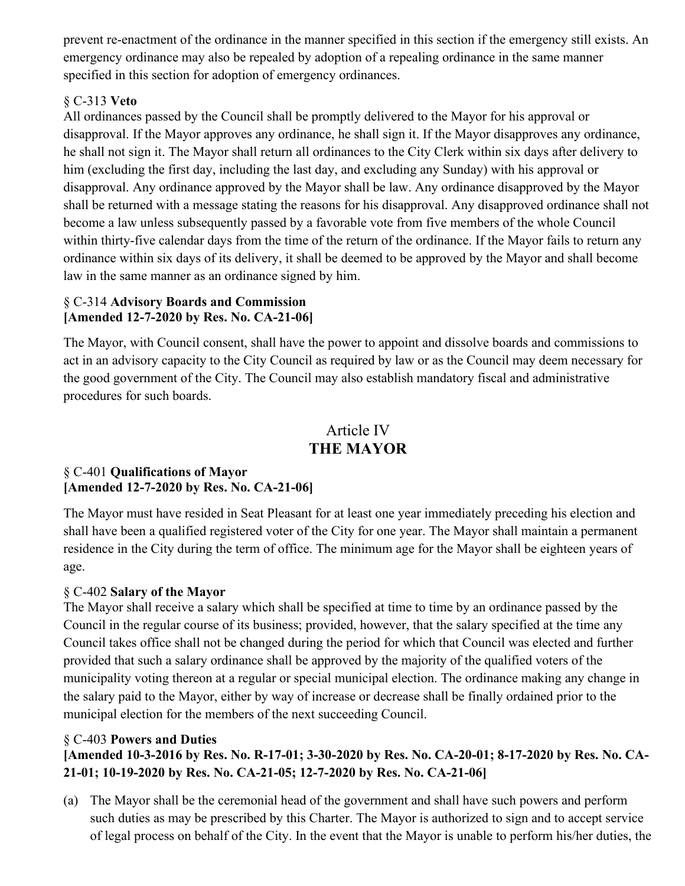prevent re-enactment of the ordinance in the manner specified in this section if the emergency still exists. An emergency ordinance may also be repealed by adoption of a repealing ordinance in the same manner specified in this section for adoption of emergency ordinances.

### § C-313 **Veto**

All ordinances passed by the Council shall be promptly delivered to the Mayor for his approval or disapproval. If the Mayor approves any ordinance, he shall sign it. If the Mayor disapproves any ordinance, he shall not sign it. The Mayor shall return all ordinances to the City Clerk within six days after delivery to him (excluding the first day, including the last day, and excluding any Sunday) with his approval or disapproval. Any ordinance approved by the Mayor shall be law. Any ordinance disapproved by the Mayor shall be returned with a message stating the reasons for his disapproval. Any disapproved ordinance shall not become a law unless subsequently passed by a favorable vote from five members of the whole Council within thirty-five calendar days from the time of the return of the ordinance. If the Mayor fails to return any ordinance within six days of its delivery, it shall be deemed to be approved by the Mayor and shall become law in the same manner as an ordinance signed by him.

### § C-314 **Advisory Boards and Commission [Amended 12-7-2020 by Res. No. CA-21-06]**

The Mayor, with Council consent, shall have the power to appoint and dissolve boards and commissions to act in an advisory capacity to the City Council as required by law or as the Council may deem necessary for the good government of the City. The Council may also establish mandatory fiscal and administrative procedures for such boards.

### Article IV **THE MAYOR**

### § C-401 **Qualifications of Mayor [Amended 12-7-2020 by Res. No. CA-21-06]**

The Mayor must have resided in Seat Pleasant for at least one year immediately preceding his election and shall have been a qualified registered voter of the City for one year. The Mayor shall maintain a permanent residence in the City during the term of office. The minimum age for the Mayor shall be eighteen years of age.

### § C-402 **Salary of the Mayor**

The Mayor shall receive a salary which shall be specified at time to time by an ordinance passed by the Council in the regular course of its business; provided, however, that the salary specified at the time any Council takes office shall not be changed during the period for which that Council was elected and further provided that such a salary ordinance shall be approved by the majority of the qualified voters of the municipality voting thereon at a regular or special municipal election. The ordinance making any change in the salary paid to the Mayor, either by way of increase or decrease shall be finally ordained prior to the municipal election for the members of the next succeeding Council.

### § C-403 **Powers and Duties**

### **[Amended 10-3-2016 by Res. No. R-17-01; 3-30-2020 by Res. No. CA-20-01; 8-17-2020 by Res. No. CA-21-01; 10-19-2020 by Res. No. CA-21-05; 12-7-2020 by Res. No. CA-21-06]**

(a) The Mayor shall be the ceremonial head of the government and shall have such powers and perform such duties as may be prescribed by this Charter. The Mayor is authorized to sign and to accept service of legal process on behalf of the City. In the event that the Mayor is unable to perform his/her duties, the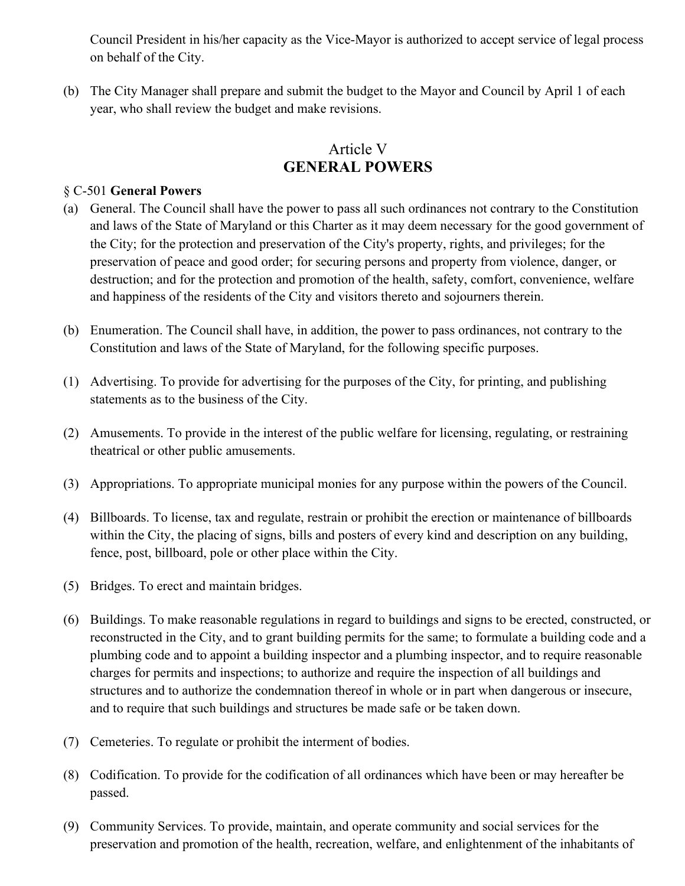Council President in his/her capacity as the Vice-Mayor is authorized to accept service of legal process on behalf of the City.

(b) The City Manager shall prepare and submit the budget to the Mayor and Council by April 1 of each year, who shall review the budget and make revisions.

# Article V **GENERAL POWERS**

#### § C-501 **General Powers**

- (a) General. The Council shall have the power to pass all such ordinances not contrary to the Constitution and laws of the State of Maryland or this Charter as it may deem necessary for the good government of the City; for the protection and preservation of the City's property, rights, and privileges; for the preservation of peace and good order; for securing persons and property from violence, danger, or destruction; and for the protection and promotion of the health, safety, comfort, convenience, welfare and happiness of the residents of the City and visitors thereto and sojourners therein.
- (b) Enumeration. The Council shall have, in addition, the power to pass ordinances, not contrary to the Constitution and laws of the State of Maryland, for the following specific purposes.
- (1) Advertising. To provide for advertising for the purposes of the City, for printing, and publishing statements as to the business of the City.
- (2) Amusements. To provide in the interest of the public welfare for licensing, regulating, or restraining theatrical or other public amusements.
- (3) Appropriations. To appropriate municipal monies for any purpose within the powers of the Council.
- (4) Billboards. To license, tax and regulate, restrain or prohibit the erection or maintenance of billboards within the City, the placing of signs, bills and posters of every kind and description on any building, fence, post, billboard, pole or other place within the City.
- (5) Bridges. To erect and maintain bridges.
- (6) Buildings. To make reasonable regulations in regard to buildings and signs to be erected, constructed, or reconstructed in the City, and to grant building permits for the same; to formulate a building code and a plumbing code and to appoint a building inspector and a plumbing inspector, and to require reasonable charges for permits and inspections; to authorize and require the inspection of all buildings and structures and to authorize the condemnation thereof in whole or in part when dangerous or insecure, and to require that such buildings and structures be made safe or be taken down.
- (7) Cemeteries. To regulate or prohibit the interment of bodies.
- (8) Codification. To provide for the codification of all ordinances which have been or may hereafter be passed.
- (9) Community Services. To provide, maintain, and operate community and social services for the preservation and promotion of the health, recreation, welfare, and enlightenment of the inhabitants of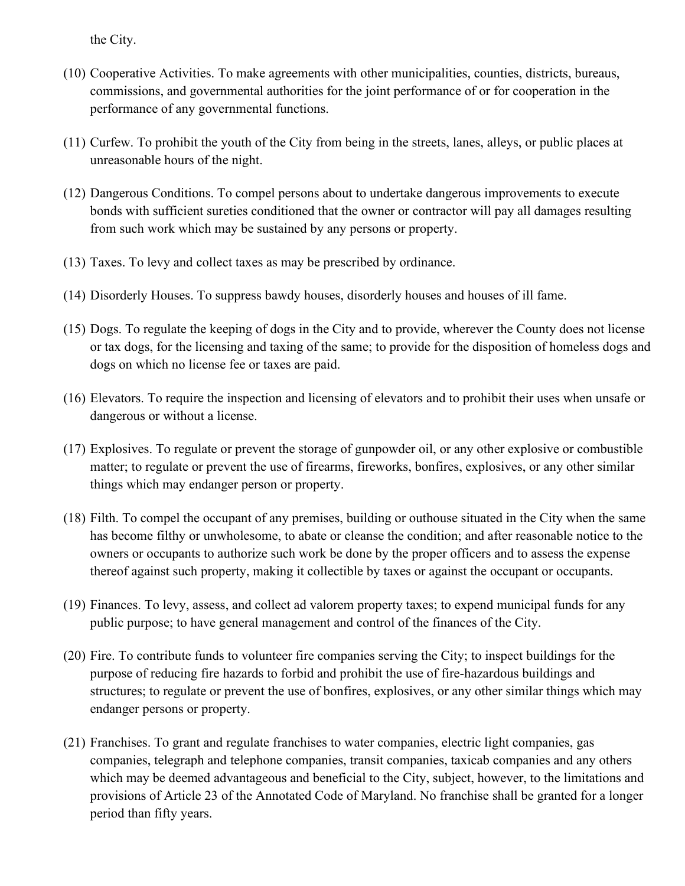the City.

- (10) Cooperative Activities. To make agreements with other municipalities, counties, districts, bureaus, commissions, and governmental authorities for the joint performance of or for cooperation in the performance of any governmental functions.
- (11) Curfew. To prohibit the youth of the City from being in the streets, lanes, alleys, or public places at unreasonable hours of the night.
- (12) Dangerous Conditions. To compel persons about to undertake dangerous improvements to execute bonds with sufficient sureties conditioned that the owner or contractor will pay all damages resulting from such work which may be sustained by any persons or property.
- (13) Taxes. To levy and collect taxes as may be prescribed by ordinance.
- (14) Disorderly Houses. To suppress bawdy houses, disorderly houses and houses of ill fame.
- (15) Dogs. To regulate the keeping of dogs in the City and to provide, wherever the County does not license or tax dogs, for the licensing and taxing of the same; to provide for the disposition of homeless dogs and dogs on which no license fee or taxes are paid.
- (16) Elevators. To require the inspection and licensing of elevators and to prohibit their uses when unsafe or dangerous or without a license.
- (17) Explosives. To regulate or prevent the storage of gunpowder oil, or any other explosive or combustible matter; to regulate or prevent the use of firearms, fireworks, bonfires, explosives, or any other similar things which may endanger person or property.
- (18) Filth. To compel the occupant of any premises, building or outhouse situated in the City when the same has become filthy or unwholesome, to abate or cleanse the condition; and after reasonable notice to the owners or occupants to authorize such work be done by the proper officers and to assess the expense thereof against such property, making it collectible by taxes or against the occupant or occupants.
- (19) Finances. To levy, assess, and collect ad valorem property taxes; to expend municipal funds for any public purpose; to have general management and control of the finances of the City.
- (20) Fire. To contribute funds to volunteer fire companies serving the City; to inspect buildings for the purpose of reducing fire hazards to forbid and prohibit the use of fire-hazardous buildings and structures; to regulate or prevent the use of bonfires, explosives, or any other similar things which may endanger persons or property.
- (21) Franchises. To grant and regulate franchises to water companies, electric light companies, gas companies, telegraph and telephone companies, transit companies, taxicab companies and any others which may be deemed advantageous and beneficial to the City, subject, however, to the limitations and provisions of Article 23 of the Annotated Code of Maryland. No franchise shall be granted for a longer period than fifty years.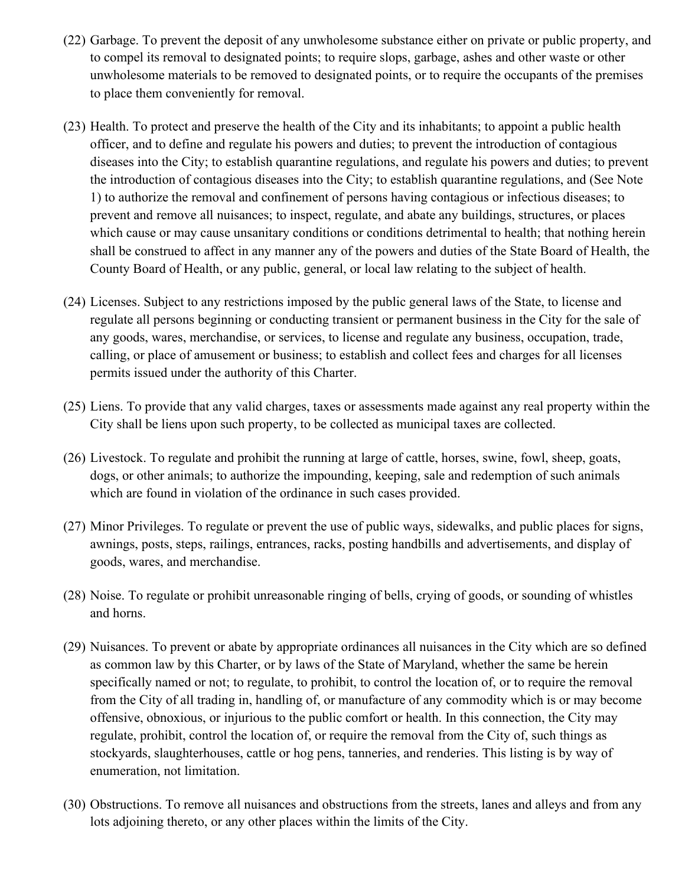- (22) Garbage. To prevent the deposit of any unwholesome substance either on private or public property, and to compel its removal to designated points; to require slops, garbage, ashes and other waste or other unwholesome materials to be removed to designated points, or to require the occupants of the premises to place them conveniently for removal.
- (23) Health. To protect and preserve the health of the City and its inhabitants; to appoint a public health officer, and to define and regulate his powers and duties; to prevent the introduction of contagious diseases into the City; to establish quarantine regulations, and regulate his powers and duties; to prevent the introduction of contagious diseases into the City; to establish quarantine regulations, and (See Note 1) to authorize the removal and confinement of persons having contagious or infectious diseases; to prevent and remove all nuisances; to inspect, regulate, and abate any buildings, structures, or places which cause or may cause unsanitary conditions or conditions detrimental to health; that nothing herein shall be construed to affect in any manner any of the powers and duties of the State Board of Health, the County Board of Health, or any public, general, or local law relating to the subject of health.
- (24) Licenses. Subject to any restrictions imposed by the public general laws of the State, to license and regulate all persons beginning or conducting transient or permanent business in the City for the sale of any goods, wares, merchandise, or services, to license and regulate any business, occupation, trade, calling, or place of amusement or business; to establish and collect fees and charges for all licenses permits issued under the authority of this Charter.
- (25) Liens. To provide that any valid charges, taxes or assessments made against any real property within the City shall be liens upon such property, to be collected as municipal taxes are collected.
- (26) Livestock. To regulate and prohibit the running at large of cattle, horses, swine, fowl, sheep, goats, dogs, or other animals; to authorize the impounding, keeping, sale and redemption of such animals which are found in violation of the ordinance in such cases provided.
- (27) Minor Privileges. To regulate or prevent the use of public ways, sidewalks, and public places for signs, awnings, posts, steps, railings, entrances, racks, posting handbills and advertisements, and display of goods, wares, and merchandise.
- (28) Noise. To regulate or prohibit unreasonable ringing of bells, crying of goods, or sounding of whistles and horns.
- (29) Nuisances. To prevent or abate by appropriate ordinances all nuisances in the City which are so defined as common law by this Charter, or by laws of the State of Maryland, whether the same be herein specifically named or not; to regulate, to prohibit, to control the location of, or to require the removal from the City of all trading in, handling of, or manufacture of any commodity which is or may become offensive, obnoxious, or injurious to the public comfort or health. In this connection, the City may regulate, prohibit, control the location of, or require the removal from the City of, such things as stockyards, slaughterhouses, cattle or hog pens, tanneries, and renderies. This listing is by way of enumeration, not limitation.
- (30) Obstructions. To remove all nuisances and obstructions from the streets, lanes and alleys and from any lots adjoining thereto, or any other places within the limits of the City.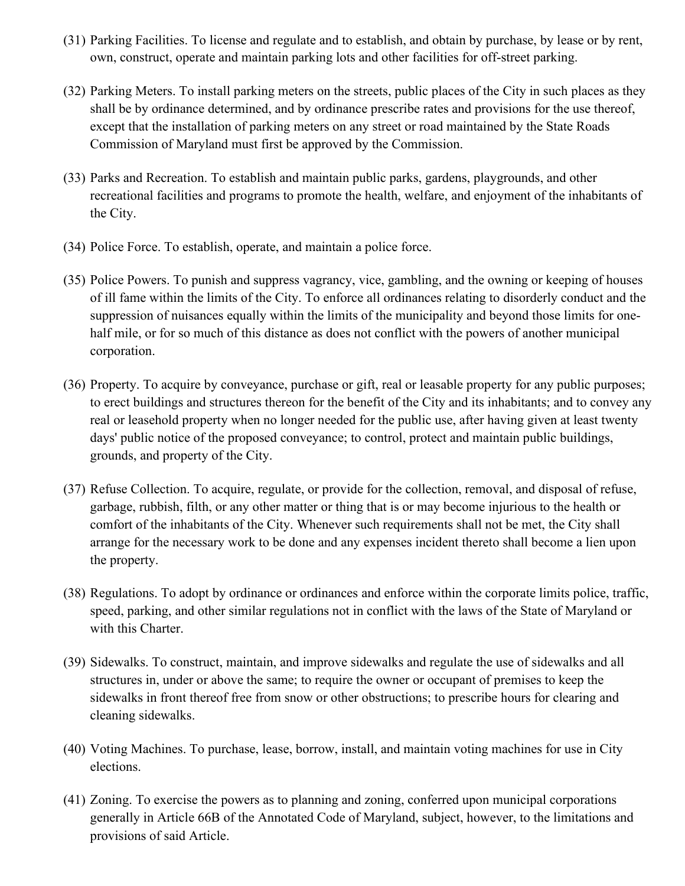- (31) Parking Facilities. To license and regulate and to establish, and obtain by purchase, by lease or by rent, own, construct, operate and maintain parking lots and other facilities for off-street parking.
- (32) Parking Meters. To install parking meters on the streets, public places of the City in such places as they shall be by ordinance determined, and by ordinance prescribe rates and provisions for the use thereof, except that the installation of parking meters on any street or road maintained by the State Roads Commission of Maryland must first be approved by the Commission.
- (33) Parks and Recreation. To establish and maintain public parks, gardens, playgrounds, and other recreational facilities and programs to promote the health, welfare, and enjoyment of the inhabitants of the City.
- (34) Police Force. To establish, operate, and maintain a police force.
- (35) Police Powers. To punish and suppress vagrancy, vice, gambling, and the owning or keeping of houses of ill fame within the limits of the City. To enforce all ordinances relating to disorderly conduct and the suppression of nuisances equally within the limits of the municipality and beyond those limits for onehalf mile, or for so much of this distance as does not conflict with the powers of another municipal corporation.
- (36) Property. To acquire by conveyance, purchase or gift, real or leasable property for any public purposes; to erect buildings and structures thereon for the benefit of the City and its inhabitants; and to convey any real or leasehold property when no longer needed for the public use, after having given at least twenty days' public notice of the proposed conveyance; to control, protect and maintain public buildings, grounds, and property of the City.
- (37) Refuse Collection. To acquire, regulate, or provide for the collection, removal, and disposal of refuse, garbage, rubbish, filth, or any other matter or thing that is or may become injurious to the health or comfort of the inhabitants of the City. Whenever such requirements shall not be met, the City shall arrange for the necessary work to be done and any expenses incident thereto shall become a lien upon the property.
- (38) Regulations. To adopt by ordinance or ordinances and enforce within the corporate limits police, traffic, speed, parking, and other similar regulations not in conflict with the laws of the State of Maryland or with this Charter.
- (39) Sidewalks. To construct, maintain, and improve sidewalks and regulate the use of sidewalks and all structures in, under or above the same; to require the owner or occupant of premises to keep the sidewalks in front thereof free from snow or other obstructions; to prescribe hours for clearing and cleaning sidewalks.
- (40) Voting Machines. To purchase, lease, borrow, install, and maintain voting machines for use in City elections.
- (41) Zoning. To exercise the powers as to planning and zoning, conferred upon municipal corporations generally in Article 66B of the Annotated Code of Maryland, subject, however, to the limitations and provisions of said Article.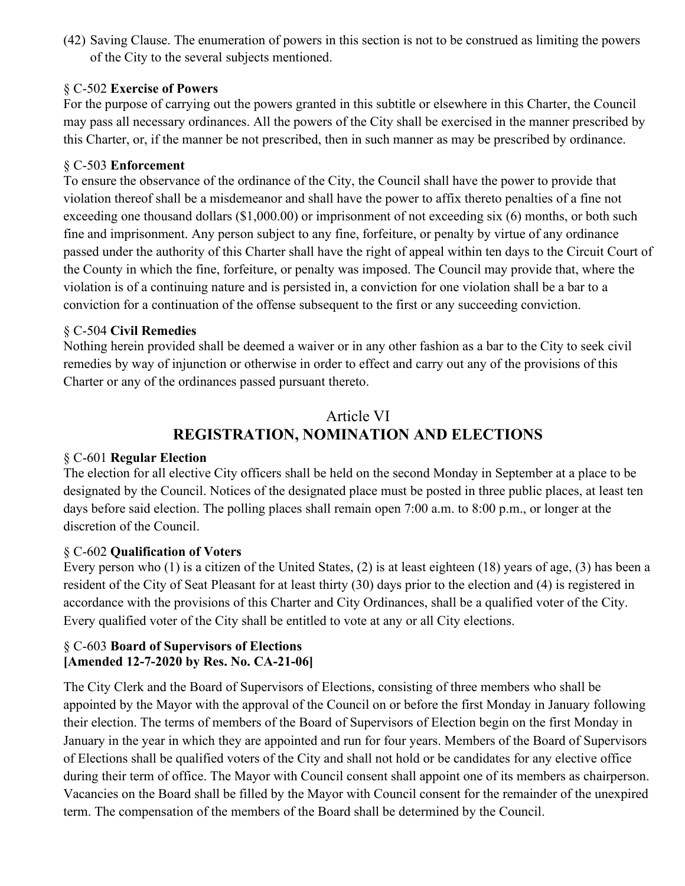(42) Saving Clause. The enumeration of powers in this section is not to be construed as limiting the powers of the City to the several subjects mentioned.

### § C-502 **Exercise of Powers**

For the purpose of carrying out the powers granted in this subtitle or elsewhere in this Charter, the Council may pass all necessary ordinances. All the powers of the City shall be exercised in the manner prescribed by this Charter, or, if the manner be not prescribed, then in such manner as may be prescribed by ordinance.

### § C-503 **Enforcement**

To ensure the observance of the ordinance of the City, the Council shall have the power to provide that violation thereof shall be a misdemeanor and shall have the power to affix thereto penalties of a fine not exceeding one thousand dollars (\$1,000.00) or imprisonment of not exceeding six (6) months, or both such fine and imprisonment. Any person subject to any fine, forfeiture, or penalty by virtue of any ordinance passed under the authority of this Charter shall have the right of appeal within ten days to the Circuit Court of the County in which the fine, forfeiture, or penalty was imposed. The Council may provide that, where the violation is of a continuing nature and is persisted in, a conviction for one violation shall be a bar to a conviction for a continuation of the offense subsequent to the first or any succeeding conviction.

### § C-504 **Civil Remedies**

Nothing herein provided shall be deemed a waiver or in any other fashion as a bar to the City to seek civil remedies by way of injunction or otherwise in order to effect and carry out any of the provisions of this Charter or any of the ordinances passed pursuant thereto.

# Article VI **REGISTRATION, NOMINATION AND ELECTIONS**

### § C-601 **Regular Election**

The election for all elective City officers shall be held on the second Monday in September at a place to be designated by the Council. Notices of the designated place must be posted in three public places, at least ten days before said election. The polling places shall remain open 7:00 a.m. to 8:00 p.m., or longer at the discretion of the Council.

### § C-602 **Qualification of Voters**

Every person who (1) is a citizen of the United States, (2) is at least eighteen (18) years of age, (3) has been a resident of the City of Seat Pleasant for at least thirty (30) days prior to the election and (4) is registered in accordance with the provisions of this Charter and City Ordinances, shall be a qualified voter of the City. Every qualified voter of the City shall be entitled to vote at any or all City elections.

### § C-603 **Board of Supervisors of Elections [Amended 12-7-2020 by Res. No. CA-21-06]**

The City Clerk and the Board of Supervisors of Elections, consisting of three members who shall be appointed by the Mayor with the approval of the Council on or before the first Monday in January following their election. The terms of members of the Board of Supervisors of Election begin on the first Monday in January in the year in which they are appointed and run for four years. Members of the Board of Supervisors of Elections shall be qualified voters of the City and shall not hold or be candidates for any elective office during their term of office. The Mayor with Council consent shall appoint one of its members as chairperson. Vacancies on the Board shall be filled by the Mayor with Council consent for the remainder of the unexpired term. The compensation of the members of the Board shall be determined by the Council.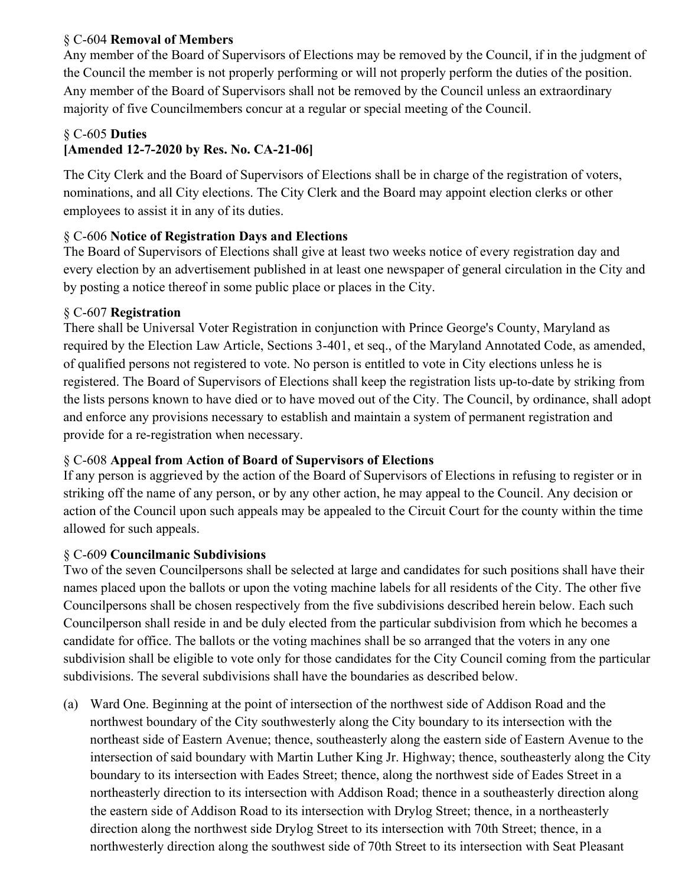### § C-604 **Removal of Members**

Any member of the Board of Supervisors of Elections may be removed by the Council, if in the judgment of the Council the member is not properly performing or will not properly perform the duties of the position. Any member of the Board of Supervisors shall not be removed by the Council unless an extraordinary majority of five Councilmembers concur at a regular or special meeting of the Council.

### § C-605 **Duties**

### **[Amended 12-7-2020 by Res. No. CA-21-06]**

The City Clerk and the Board of Supervisors of Elections shall be in charge of the registration of voters, nominations, and all City elections. The City Clerk and the Board may appoint election clerks or other employees to assist it in any of its duties.

### § C-606 **Notice of Registration Days and Elections**

The Board of Supervisors of Elections shall give at least two weeks notice of every registration day and every election by an advertisement published in at least one newspaper of general circulation in the City and by posting a notice thereof in some public place or places in the City.

### § C-607 **Registration**

There shall be Universal Voter Registration in conjunction with Prince George's County, Maryland as required by the Election Law Article, Sections 3-401, et seq., of the Maryland Annotated Code, as amended, of qualified persons not registered to vote. No person is entitled to vote in City elections unless he is registered. The Board of Supervisors of Elections shall keep the registration lists up-to-date by striking from the lists persons known to have died or to have moved out of the City. The Council, by ordinance, shall adopt and enforce any provisions necessary to establish and maintain a system of permanent registration and provide for a re-registration when necessary.

### § C-608 **Appeal from Action of Board of Supervisors of Elections**

If any person is aggrieved by the action of the Board of Supervisors of Elections in refusing to register or in striking off the name of any person, or by any other action, he may appeal to the Council. Any decision or action of the Council upon such appeals may be appealed to the Circuit Court for the county within the time allowed for such appeals.

### § C-609 **Councilmanic Subdivisions**

Two of the seven Councilpersons shall be selected at large and candidates for such positions shall have their names placed upon the ballots or upon the voting machine labels for all residents of the City. The other five Councilpersons shall be chosen respectively from the five subdivisions described herein below. Each such Councilperson shall reside in and be duly elected from the particular subdivision from which he becomes a candidate for office. The ballots or the voting machines shall be so arranged that the voters in any one subdivision shall be eligible to vote only for those candidates for the City Council coming from the particular subdivisions. The several subdivisions shall have the boundaries as described below.

(a) Ward One. Beginning at the point of intersection of the northwest side of Addison Road and the northwest boundary of the City southwesterly along the City boundary to its intersection with the northeast side of Eastern Avenue; thence, southeasterly along the eastern side of Eastern Avenue to the intersection of said boundary with Martin Luther King Jr. Highway; thence, southeasterly along the City boundary to its intersection with Eades Street; thence, along the northwest side of Eades Street in a northeasterly direction to its intersection with Addison Road; thence in a southeasterly direction along the eastern side of Addison Road to its intersection with Drylog Street; thence, in a northeasterly direction along the northwest side Drylog Street to its intersection with 70th Street; thence, in a northwesterly direction along the southwest side of 70th Street to its intersection with Seat Pleasant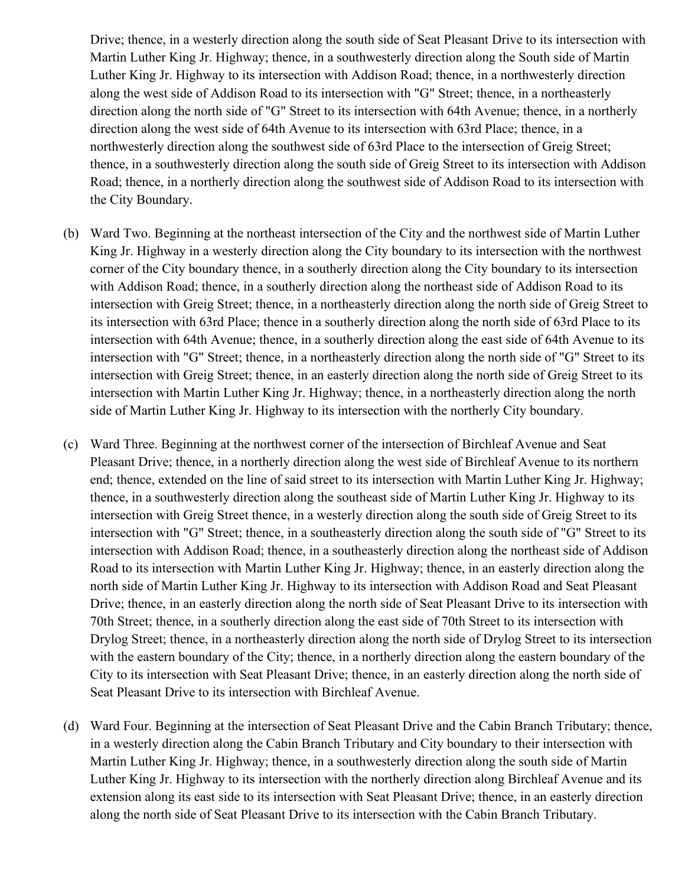Drive; thence, in a westerly direction along the south side of Seat Pleasant Drive to its intersection with Martin Luther King Jr. Highway; thence, in a southwesterly direction along the South side of Martin Luther King Jr. Highway to its intersection with Addison Road; thence, in a northwesterly direction along the west side of Addison Road to its intersection with "G" Street; thence, in a northeasterly direction along the north side of "G" Street to its intersection with 64th Avenue; thence, in a northerly direction along the west side of 64th Avenue to its intersection with 63rd Place; thence, in a northwesterly direction along the southwest side of 63rd Place to the intersection of Greig Street; thence, in a southwesterly direction along the south side of Greig Street to its intersection with Addison Road; thence, in a northerly direction along the southwest side of Addison Road to its intersection with the City Boundary.

- (b) Ward Two. Beginning at the northeast intersection of the City and the northwest side of Martin Luther King Jr. Highway in a westerly direction along the City boundary to its intersection with the northwest corner of the City boundary thence, in a southerly direction along the City boundary to its intersection with Addison Road; thence, in a southerly direction along the northeast side of Addison Road to its intersection with Greig Street; thence, in a northeasterly direction along the north side of Greig Street to its intersection with 63rd Place; thence in a southerly direction along the north side of 63rd Place to its intersection with 64th Avenue; thence, in a southerly direction along the east side of 64th Avenue to its intersection with "G" Street; thence, in a northeasterly direction along the north side of "G" Street to its intersection with Greig Street; thence, in an easterly direction along the north side of Greig Street to its intersection with Martin Luther King Jr. Highway; thence, in a northeasterly direction along the north side of Martin Luther King Jr. Highway to its intersection with the northerly City boundary.
- (c) Ward Three. Beginning at the northwest corner of the intersection of Birchleaf Avenue and Seat Pleasant Drive; thence, in a northerly direction along the west side of Birchleaf Avenue to its northern end; thence, extended on the line of said street to its intersection with Martin Luther King Jr. Highway; thence, in a southwesterly direction along the southeast side of Martin Luther King Jr. Highway to its intersection with Greig Street thence, in a westerly direction along the south side of Greig Street to its intersection with "G" Street; thence, in a southeasterly direction along the south side of "G" Street to its intersection with Addison Road; thence, in a southeasterly direction along the northeast side of Addison Road to its intersection with Martin Luther King Jr. Highway; thence, in an easterly direction along the north side of Martin Luther King Jr. Highway to its intersection with Addison Road and Seat Pleasant Drive; thence, in an easterly direction along the north side of Seat Pleasant Drive to its intersection with 70th Street; thence, in a southerly direction along the east side of 70th Street to its intersection with Drylog Street; thence, in a northeasterly direction along the north side of Drylog Street to its intersection with the eastern boundary of the City; thence, in a northerly direction along the eastern boundary of the City to its intersection with Seat Pleasant Drive; thence, in an easterly direction along the north side of Seat Pleasant Drive to its intersection with Birchleaf Avenue.
- (d) Ward Four. Beginning at the intersection of Seat Pleasant Drive and the Cabin Branch Tributary; thence, in a westerly direction along the Cabin Branch Tributary and City boundary to their intersection with Martin Luther King Jr. Highway; thence, in a southwesterly direction along the south side of Martin Luther King Jr. Highway to its intersection with the northerly direction along Birchleaf Avenue and its extension along its east side to its intersection with Seat Pleasant Drive; thence, in an easterly direction along the north side of Seat Pleasant Drive to its intersection with the Cabin Branch Tributary.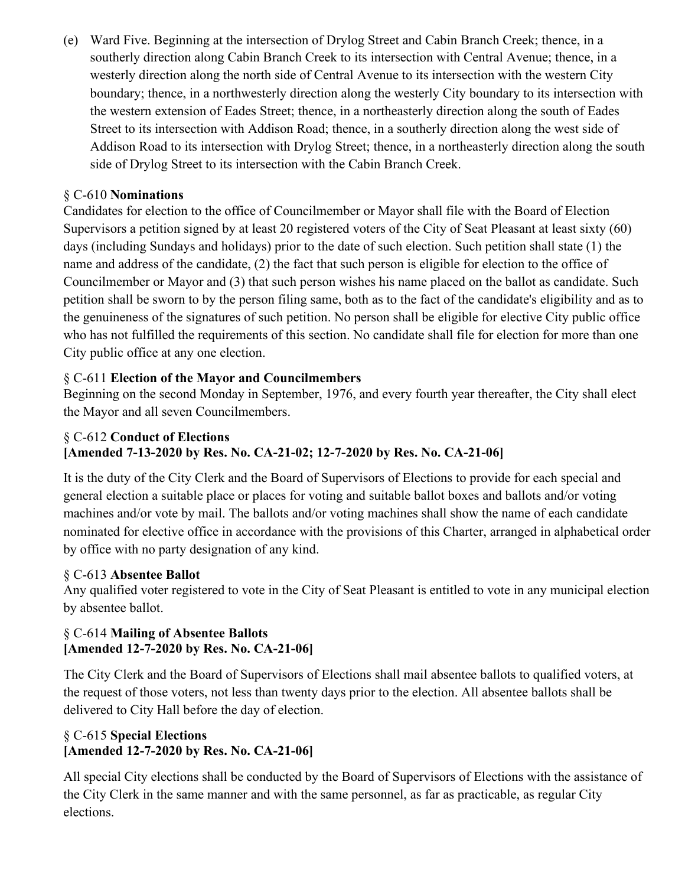(e) Ward Five. Beginning at the intersection of Drylog Street and Cabin Branch Creek; thence, in a southerly direction along Cabin Branch Creek to its intersection with Central Avenue; thence, in a westerly direction along the north side of Central Avenue to its intersection with the western City boundary; thence, in a northwesterly direction along the westerly City boundary to its intersection with the western extension of Eades Street; thence, in a northeasterly direction along the south of Eades Street to its intersection with Addison Road; thence, in a southerly direction along the west side of Addison Road to its intersection with Drylog Street; thence, in a northeasterly direction along the south side of Drylog Street to its intersection with the Cabin Branch Creek.

### § C-610 **Nominations**

Candidates for election to the office of Councilmember or Mayor shall file with the Board of Election Supervisors a petition signed by at least 20 registered voters of the City of Seat Pleasant at least sixty (60) days (including Sundays and holidays) prior to the date of such election. Such petition shall state (1) the name and address of the candidate, (2) the fact that such person is eligible for election to the office of Councilmember or Mayor and (3) that such person wishes his name placed on the ballot as candidate. Such petition shall be sworn to by the person filing same, both as to the fact of the candidate's eligibility and as to the genuineness of the signatures of such petition. No person shall be eligible for elective City public office who has not fulfilled the requirements of this section. No candidate shall file for election for more than one City public office at any one election.

### § C-611 **Election of the Mayor and Councilmembers**

Beginning on the second Monday in September, 1976, and every fourth year thereafter, the City shall elect the Mayor and all seven Councilmembers.

### § C-612 **Conduct of Elections [Amended 7-13-2020 by Res. No. CA-21-02; 12-7-2020 by Res. No. CA-21-06]**

It is the duty of the City Clerk and the Board of Supervisors of Elections to provide for each special and general election a suitable place or places for voting and suitable ballot boxes and ballots and/or voting machines and/or vote by mail. The ballots and/or voting machines shall show the name of each candidate nominated for elective office in accordance with the provisions of this Charter, arranged in alphabetical order by office with no party designation of any kind.

### § C-613 **Absentee Ballot**

Any qualified voter registered to vote in the City of Seat Pleasant is entitled to vote in any municipal election by absentee ballot.

### § C-614 **Mailing of Absentee Ballots [Amended 12-7-2020 by Res. No. CA-21-06]**

The City Clerk and the Board of Supervisors of Elections shall mail absentee ballots to qualified voters, at the request of those voters, not less than twenty days prior to the election. All absentee ballots shall be delivered to City Hall before the day of election.

### § C-615 **Special Elections [Amended 12-7-2020 by Res. No. CA-21-06]**

All special City elections shall be conducted by the Board of Supervisors of Elections with the assistance of the City Clerk in the same manner and with the same personnel, as far as practicable, as regular City elections.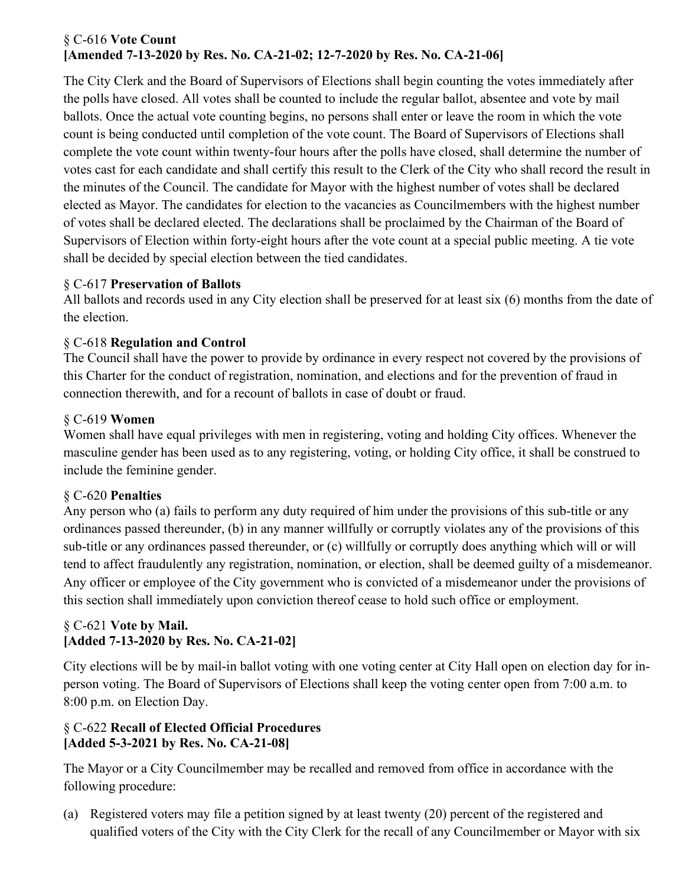### § C-616 **Vote Count [Amended 7-13-2020 by Res. No. CA-21-02; 12-7-2020 by Res. No. CA-21-06]**

The City Clerk and the Board of Supervisors of Elections shall begin counting the votes immediately after the polls have closed. All votes shall be counted to include the regular ballot, absentee and vote by mail ballots. Once the actual vote counting begins, no persons shall enter or leave the room in which the vote count is being conducted until completion of the vote count. The Board of Supervisors of Elections shall complete the vote count within twenty-four hours after the polls have closed, shall determine the number of votes cast for each candidate and shall certify this result to the Clerk of the City who shall record the result in the minutes of the Council. The candidate for Mayor with the highest number of votes shall be declared elected as Mayor. The candidates for election to the vacancies as Councilmembers with the highest number of votes shall be declared elected. The declarations shall be proclaimed by the Chairman of the Board of Supervisors of Election within forty-eight hours after the vote count at a special public meeting. A tie vote shall be decided by special election between the tied candidates.

### § C-617 **Preservation of Ballots**

All ballots and records used in any City election shall be preserved for at least six (6) months from the date of the election.

### § C-618 **Regulation and Control**

The Council shall have the power to provide by ordinance in every respect not covered by the provisions of this Charter for the conduct of registration, nomination, and elections and for the prevention of fraud in connection therewith, and for a recount of ballots in case of doubt or fraud.

### § C-619 **Women**

Women shall have equal privileges with men in registering, voting and holding City offices. Whenever the masculine gender has been used as to any registering, voting, or holding City office, it shall be construed to include the feminine gender.

### § C-620 **Penalties**

Any person who (a) fails to perform any duty required of him under the provisions of this sub-title or any ordinances passed thereunder, (b) in any manner willfully or corruptly violates any of the provisions of this sub-title or any ordinances passed thereunder, or (c) willfully or corruptly does anything which will or will tend to affect fraudulently any registration, nomination, or election, shall be deemed guilty of a misdemeanor. Any officer or employee of the City government who is convicted of a misdemeanor under the provisions of this section shall immediately upon conviction thereof cease to hold such office or employment.

### § C-621 **Vote by Mail. [Added 7-13-2020 by Res. No. CA-21-02]**

City elections will be by mail-in ballot voting with one voting center at City Hall open on election day for inperson voting. The Board of Supervisors of Elections shall keep the voting center open from 7:00 a.m. to 8:00 p.m. on Election Day.

### § C-622 **Recall of Elected Official Procedures [Added 5-3-2021 by Res. No. CA-21-08]**

The Mayor or a City Councilmember may be recalled and removed from office in accordance with the following procedure:

(a) Registered voters may file a petition signed by at least twenty (20) percent of the registered and qualified voters of the City with the City Clerk for the recall of any Councilmember or Mayor with six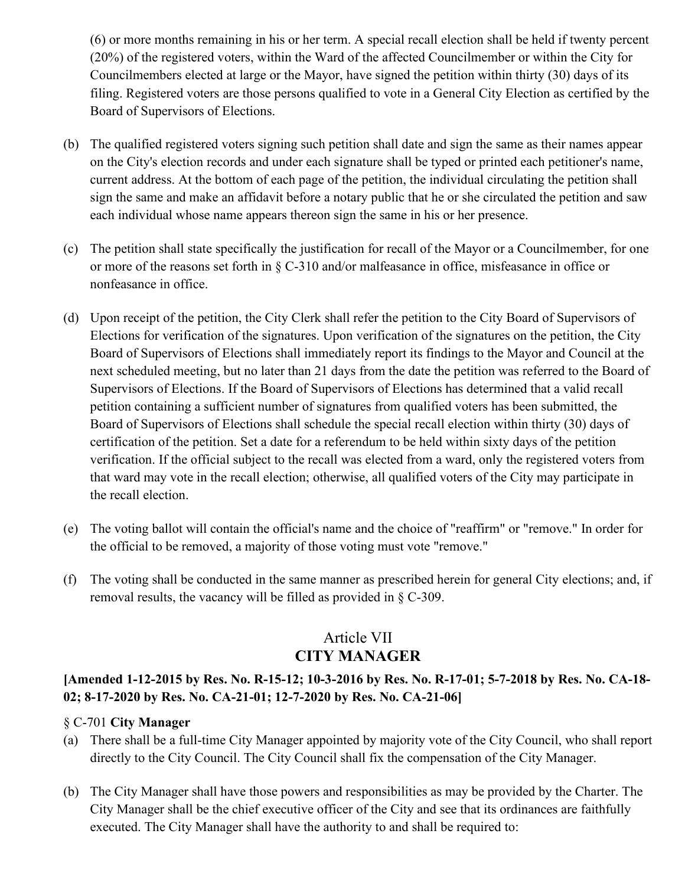(6) or more months remaining in his or her term. A special recall election shall be held if twenty percent (20%) of the registered voters, within the Ward of the affected Councilmember or within the City for Councilmembers elected at large or the Mayor, have signed the petition within thirty (30) days of its filing. Registered voters are those persons qualified to vote in a General City Election as certified by the Board of Supervisors of Elections.

- (b) The qualified registered voters signing such petition shall date and sign the same as their names appear on the City's election records and under each signature shall be typed or printed each petitioner's name, current address. At the bottom of each page of the petition, the individual circulating the petition shall sign the same and make an affidavit before a notary public that he or she circulated the petition and saw each individual whose name appears thereon sign the same in his or her presence.
- (c) The petition shall state specifically the justification for recall of the Mayor or a Councilmember, for one or more of the reasons set forth in § C-310 and/or malfeasance in office, misfeasance in office or nonfeasance in office.
- (d) Upon receipt of the petition, the City Clerk shall refer the petition to the City Board of Supervisors of Elections for verification of the signatures. Upon verification of the signatures on the petition, the City Board of Supervisors of Elections shall immediately report its findings to the Mayor and Council at the next scheduled meeting, but no later than 21 days from the date the petition was referred to the Board of Supervisors of Elections. If the Board of Supervisors of Elections has determined that a valid recall petition containing a sufficient number of signatures from qualified voters has been submitted, the Board of Supervisors of Elections shall schedule the special recall election within thirty (30) days of certification of the petition. Set a date for a referendum to be held within sixty days of the petition verification. If the official subject to the recall was elected from a ward, only the registered voters from that ward may vote in the recall election; otherwise, all qualified voters of the City may participate in the recall election.
- (e) The voting ballot will contain the official's name and the choice of "reaffirm" or "remove." In order for the official to be removed, a majority of those voting must vote "remove."
- (f) The voting shall be conducted in the same manner as prescribed herein for general City elections; and, if removal results, the vacancy will be filled as provided in § C-309.

# Article VII **CITY MANAGER**

### **[Amended 1-12-2015 by Res. No. R-15-12; 10-3-2016 by Res. No. R-17-01; 5-7-2018 by Res. No. CA-18- 02; 8-17-2020 by Res. No. CA-21-01; 12-7-2020 by Res. No. CA-21-06]**

### § C-701 **City Manager**

- (a) There shall be a full-time City Manager appointed by majority vote of the City Council, who shall report directly to the City Council. The City Council shall fix the compensation of the City Manager.
- (b) The City Manager shall have those powers and responsibilities as may be provided by the Charter. The City Manager shall be the chief executive officer of the City and see that its ordinances are faithfully executed. The City Manager shall have the authority to and shall be required to: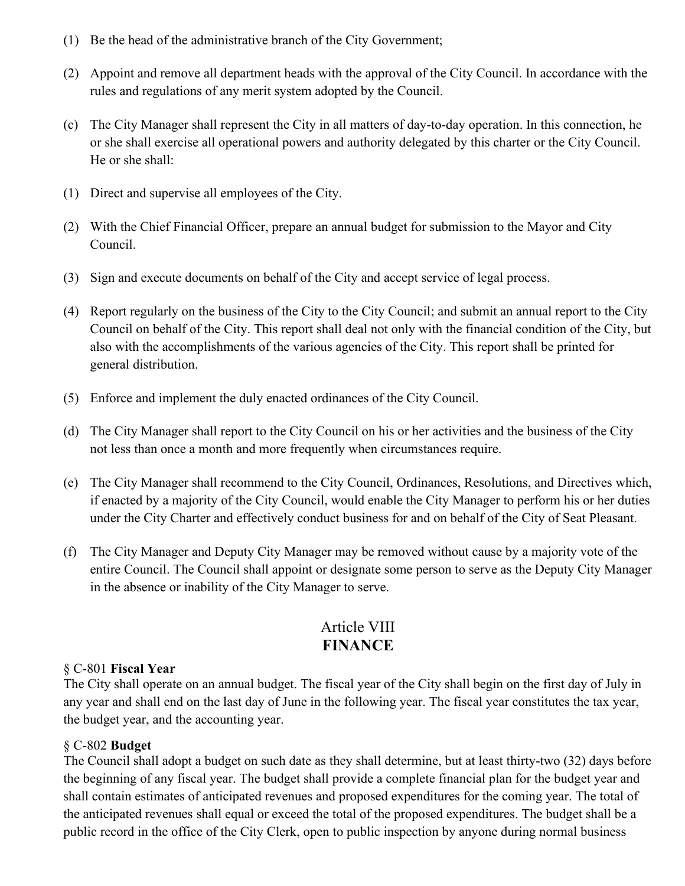- (1) Be the head of the administrative branch of the City Government;
- (2) Appoint and remove all department heads with the approval of the City Council. In accordance with the rules and regulations of any merit system adopted by the Council.
- (c) The City Manager shall represent the City in all matters of day-to-day operation. In this connection, he or she shall exercise all operational powers and authority delegated by this charter or the City Council. He or she shall:
- (1) Direct and supervise all employees of the City.
- (2) With the Chief Financial Officer, prepare an annual budget for submission to the Mayor and City Council.
- (3) Sign and execute documents on behalf of the City and accept service of legal process.
- (4) Report regularly on the business of the City to the City Council; and submit an annual report to the City Council on behalf of the City. This report shall deal not only with the financial condition of the City, but also with the accomplishments of the various agencies of the City. This report shall be printed for general distribution.
- (5) Enforce and implement the duly enacted ordinances of the City Council.
- (d) The City Manager shall report to the City Council on his or her activities and the business of the City not less than once a month and more frequently when circumstances require.
- (e) The City Manager shall recommend to the City Council, Ordinances, Resolutions, and Directives which, if enacted by a majority of the City Council, would enable the City Manager to perform his or her duties under the City Charter and effectively conduct business for and on behalf of the City of Seat Pleasant.
- (f) The City Manager and Deputy City Manager may be removed without cause by a majority vote of the entire Council. The Council shall appoint or designate some person to serve as the Deputy City Manager in the absence or inability of the City Manager to serve.

### Article VIII **FINANCE**

#### § C-801 **Fiscal Year**

The City shall operate on an annual budget. The fiscal year of the City shall begin on the first day of July in any year and shall end on the last day of June in the following year. The fiscal year constitutes the tax year, the budget year, and the accounting year.

#### § C-802 **Budget**

The Council shall adopt a budget on such date as they shall determine, but at least thirty-two (32) days before the beginning of any fiscal year. The budget shall provide a complete financial plan for the budget year and shall contain estimates of anticipated revenues and proposed expenditures for the coming year. The total of the anticipated revenues shall equal or exceed the total of the proposed expenditures. The budget shall be a public record in the office of the City Clerk, open to public inspection by anyone during normal business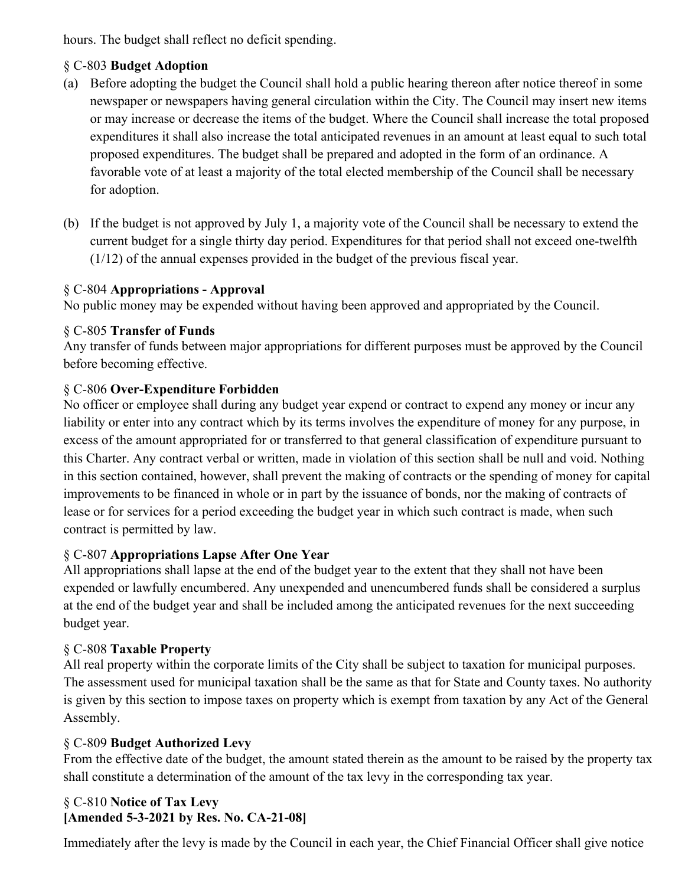hours. The budget shall reflect no deficit spending.

### § C-803 **Budget Adoption**

- (a) Before adopting the budget the Council shall hold a public hearing thereon after notice thereof in some newspaper or newspapers having general circulation within the City. The Council may insert new items or may increase or decrease the items of the budget. Where the Council shall increase the total proposed expenditures it shall also increase the total anticipated revenues in an amount at least equal to such total proposed expenditures. The budget shall be prepared and adopted in the form of an ordinance. A favorable vote of at least a majority of the total elected membership of the Council shall be necessary for adoption.
- (b) If the budget is not approved by July 1, a majority vote of the Council shall be necessary to extend the current budget for a single thirty day period. Expenditures for that period shall not exceed one-twelfth (1/12) of the annual expenses provided in the budget of the previous fiscal year.

### § C-804 **Appropriations - Approval**

No public money may be expended without having been approved and appropriated by the Council.

### § C-805 **Transfer of Funds**

Any transfer of funds between major appropriations for different purposes must be approved by the Council before becoming effective.

### § C-806 **Over-Expenditure Forbidden**

No officer or employee shall during any budget year expend or contract to expend any money or incur any liability or enter into any contract which by its terms involves the expenditure of money for any purpose, in excess of the amount appropriated for or transferred to that general classification of expenditure pursuant to this Charter. Any contract verbal or written, made in violation of this section shall be null and void. Nothing in this section contained, however, shall prevent the making of contracts or the spending of money for capital improvements to be financed in whole or in part by the issuance of bonds, nor the making of contracts of lease or for services for a period exceeding the budget year in which such contract is made, when such contract is permitted by law.

### § C-807 **Appropriations Lapse After One Year**

All appropriations shall lapse at the end of the budget year to the extent that they shall not have been expended or lawfully encumbered. Any unexpended and unencumbered funds shall be considered a surplus at the end of the budget year and shall be included among the anticipated revenues for the next succeeding budget year.

### § C-808 **Taxable Property**

All real property within the corporate limits of the City shall be subject to taxation for municipal purposes. The assessment used for municipal taxation shall be the same as that for State and County taxes. No authority is given by this section to impose taxes on property which is exempt from taxation by any Act of the General Assembly.

### § C-809 **Budget Authorized Levy**

From the effective date of the budget, the amount stated therein as the amount to be raised by the property tax shall constitute a determination of the amount of the tax levy in the corresponding tax year.

### § C-810 **Notice of Tax Levy [Amended 5-3-2021 by Res. No. CA-21-08]**

Immediately after the levy is made by the Council in each year, the Chief Financial Officer shall give notice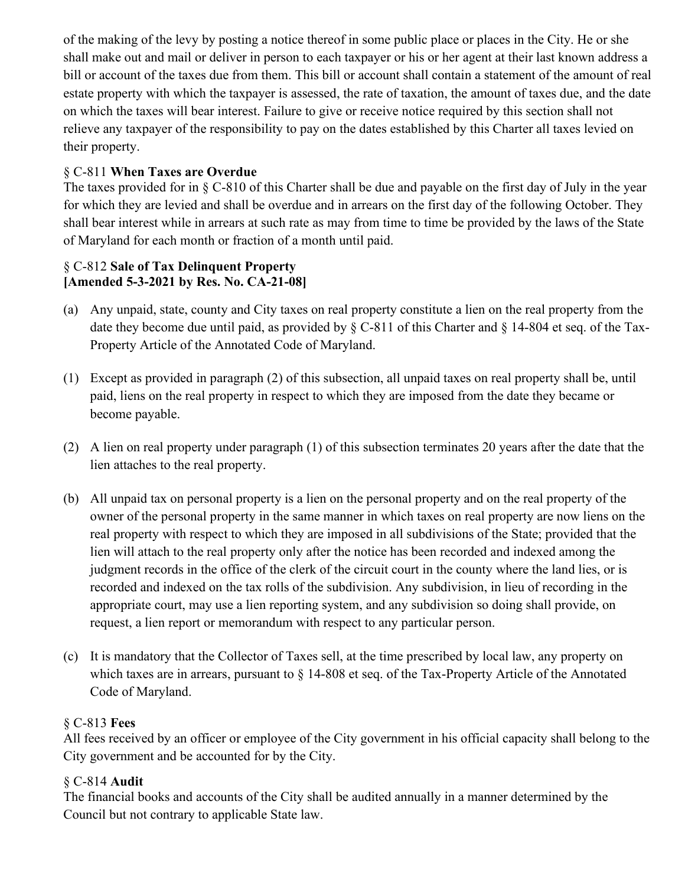of the making of the levy by posting a notice thereof in some public place or places in the City. He or she shall make out and mail or deliver in person to each taxpayer or his or her agent at their last known address a bill or account of the taxes due from them. This bill or account shall contain a statement of the amount of real estate property with which the taxpayer is assessed, the rate of taxation, the amount of taxes due, and the date on which the taxes will bear interest. Failure to give or receive notice required by this section shall not relieve any taxpayer of the responsibility to pay on the dates established by this Charter all taxes levied on their property.

### § C-811 **When Taxes are Overdue**

The taxes provided for in § C-810 of this Charter shall be due and payable on the first day of July in the year for which they are levied and shall be overdue and in arrears on the first day of the following October. They shall bear interest while in arrears at such rate as may from time to time be provided by the laws of the State of Maryland for each month or fraction of a month until paid.

### § C-812 **Sale of Tax Delinquent Property [Amended 5-3-2021 by Res. No. CA-21-08]**

- (a) Any unpaid, state, county and City taxes on real property constitute a lien on the real property from the date they become due until paid, as provided by § C-811 of this Charter and § 14-804 et seq. of the Tax-Property Article of the Annotated Code of Maryland.
- (1) Except as provided in paragraph (2) of this subsection, all unpaid taxes on real property shall be, until paid, liens on the real property in respect to which they are imposed from the date they became or become payable.
- (2) A lien on real property under paragraph (1) of this subsection terminates 20 years after the date that the lien attaches to the real property.
- (b) All unpaid tax on personal property is a lien on the personal property and on the real property of the owner of the personal property in the same manner in which taxes on real property are now liens on the real property with respect to which they are imposed in all subdivisions of the State; provided that the lien will attach to the real property only after the notice has been recorded and indexed among the judgment records in the office of the clerk of the circuit court in the county where the land lies, or is recorded and indexed on the tax rolls of the subdivision. Any subdivision, in lieu of recording in the appropriate court, may use a lien reporting system, and any subdivision so doing shall provide, on request, a lien report or memorandum with respect to any particular person.
- (c) It is mandatory that the Collector of Taxes sell, at the time prescribed by local law, any property on which taxes are in arrears, pursuant to  $\S$  14-808 et seq. of the Tax-Property Article of the Annotated Code of Maryland.

### § C-813 **Fees**

All fees received by an officer or employee of the City government in his official capacity shall belong to the City government and be accounted for by the City.

### § C-814 **Audit**

The financial books and accounts of the City shall be audited annually in a manner determined by the Council but not contrary to applicable State law.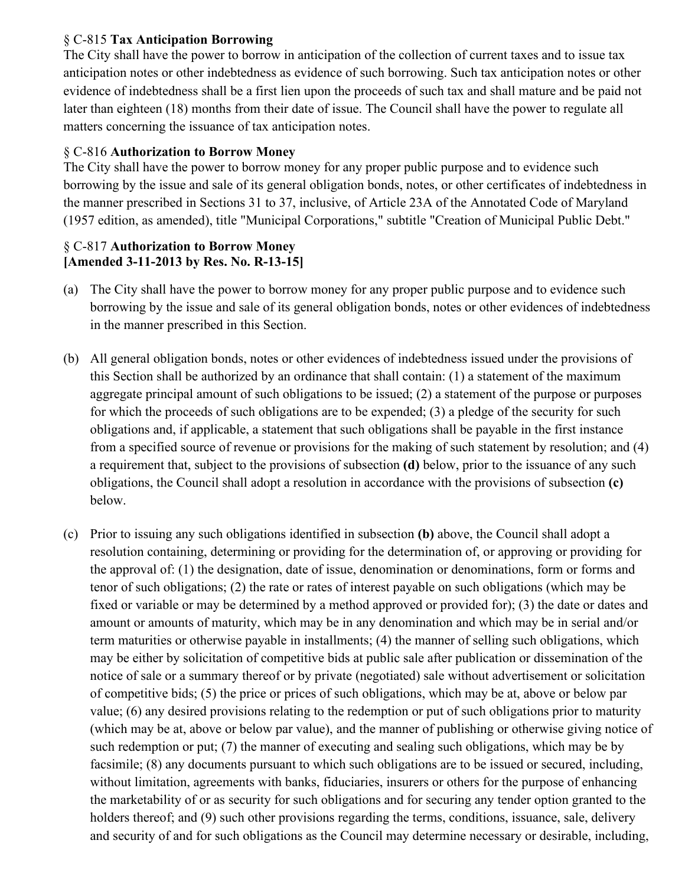### § C-815 **Tax Anticipation Borrowing**

The City shall have the power to borrow in anticipation of the collection of current taxes and to issue tax anticipation notes or other indebtedness as evidence of such borrowing. Such tax anticipation notes or other evidence of indebtedness shall be a first lien upon the proceeds of such tax and shall mature and be paid not later than eighteen (18) months from their date of issue. The Council shall have the power to regulate all matters concerning the issuance of tax anticipation notes.

### § C-816 **Authorization to Borrow Money**

The City shall have the power to borrow money for any proper public purpose and to evidence such borrowing by the issue and sale of its general obligation bonds, notes, or other certificates of indebtedness in the manner prescribed in Sections 31 to 37, inclusive, of Article 23A of the Annotated Code of Maryland (1957 edition, as amended), title "Municipal Corporations," subtitle "Creation of Municipal Public Debt."

### § C-817 **Authorization to Borrow Money [Amended 3-11-2013 by Res. No. R-13-15]**

- (a) The City shall have the power to borrow money for any proper public purpose and to evidence such borrowing by the issue and sale of its general obligation bonds, notes or other evidences of indebtedness in the manner prescribed in this Section.
- (b) All general obligation bonds, notes or other evidences of indebtedness issued under the provisions of this Section shall be authorized by an ordinance that shall contain: (1) a statement of the maximum aggregate principal amount of such obligations to be issued; (2) a statement of the purpose or purposes for which the proceeds of such obligations are to be expended; (3) a pledge of the security for such obligations and, if applicable, a statement that such obligations shall be payable in the first instance from a specified source of revenue or provisions for the making of such statement by resolution; and (4) a requirement that, subject to the provisions of subsection **(d)** below, prior to the issuance of any such obligations, the Council shall adopt a resolution in accordance with the provisions of subsection **(c)** below.
- (c) Prior to issuing any such obligations identified in subsection **(b)** above, the Council shall adopt a resolution containing, determining or providing for the determination of, or approving or providing for the approval of: (1) the designation, date of issue, denomination or denominations, form or forms and tenor of such obligations; (2) the rate or rates of interest payable on such obligations (which may be fixed or variable or may be determined by a method approved or provided for); (3) the date or dates and amount or amounts of maturity, which may be in any denomination and which may be in serial and/or term maturities or otherwise payable in installments; (4) the manner of selling such obligations, which may be either by solicitation of competitive bids at public sale after publication or dissemination of the notice of sale or a summary thereof or by private (negotiated) sale without advertisement or solicitation of competitive bids; (5) the price or prices of such obligations, which may be at, above or below par value; (6) any desired provisions relating to the redemption or put of such obligations prior to maturity (which may be at, above or below par value), and the manner of publishing or otherwise giving notice of such redemption or put; (7) the manner of executing and sealing such obligations, which may be by facsimile; (8) any documents pursuant to which such obligations are to be issued or secured, including, without limitation, agreements with banks, fiduciaries, insurers or others for the purpose of enhancing the marketability of or as security for such obligations and for securing any tender option granted to the holders thereof; and (9) such other provisions regarding the terms, conditions, issuance, sale, delivery and security of and for such obligations as the Council may determine necessary or desirable, including,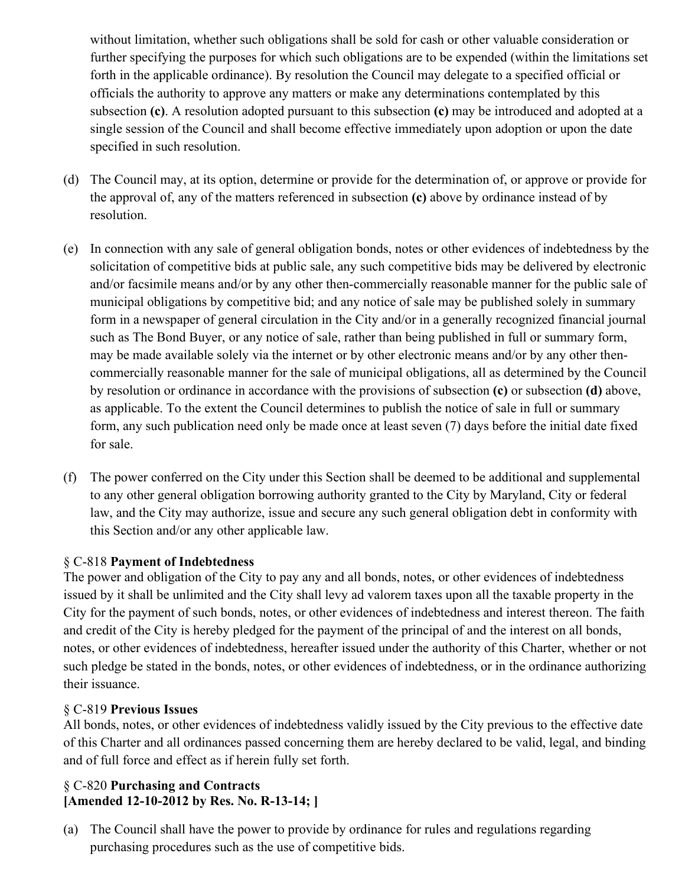without limitation, whether such obligations shall be sold for cash or other valuable consideration or further specifying the purposes for which such obligations are to be expended (within the limitations set forth in the applicable ordinance). By resolution the Council may delegate to a specified official or officials the authority to approve any matters or make any determinations contemplated by this subsection **(c)**. A resolution adopted pursuant to this subsection **(c)** may be introduced and adopted at a single session of the Council and shall become effective immediately upon adoption or upon the date specified in such resolution.

- (d) The Council may, at its option, determine or provide for the determination of, or approve or provide for the approval of, any of the matters referenced in subsection **(c)** above by ordinance instead of by resolution.
- (e) In connection with any sale of general obligation bonds, notes or other evidences of indebtedness by the solicitation of competitive bids at public sale, any such competitive bids may be delivered by electronic and/or facsimile means and/or by any other then-commercially reasonable manner for the public sale of municipal obligations by competitive bid; and any notice of sale may be published solely in summary form in a newspaper of general circulation in the City and/or in a generally recognized financial journal such as The Bond Buyer, or any notice of sale, rather than being published in full or summary form, may be made available solely via the internet or by other electronic means and/or by any other thencommercially reasonable manner for the sale of municipal obligations, all as determined by the Council by resolution or ordinance in accordance with the provisions of subsection **(c)** or subsection **(d)** above, as applicable. To the extent the Council determines to publish the notice of sale in full or summary form, any such publication need only be made once at least seven (7) days before the initial date fixed for sale.
- (f) The power conferred on the City under this Section shall be deemed to be additional and supplemental to any other general obligation borrowing authority granted to the City by Maryland, City or federal law, and the City may authorize, issue and secure any such general obligation debt in conformity with this Section and/or any other applicable law.

### § C-818 **Payment of Indebtedness**

The power and obligation of the City to pay any and all bonds, notes, or other evidences of indebtedness issued by it shall be unlimited and the City shall levy ad valorem taxes upon all the taxable property in the City for the payment of such bonds, notes, or other evidences of indebtedness and interest thereon. The faith and credit of the City is hereby pledged for the payment of the principal of and the interest on all bonds, notes, or other evidences of indebtedness, hereafter issued under the authority of this Charter, whether or not such pledge be stated in the bonds, notes, or other evidences of indebtedness, or in the ordinance authorizing their issuance.

### § C-819 **Previous Issues**

All bonds, notes, or other evidences of indebtedness validly issued by the City previous to the effective date of this Charter and all ordinances passed concerning them are hereby declared to be valid, legal, and binding and of full force and effect as if herein fully set forth.

### § C-820 **Purchasing and Contracts [Amended 12-10-2012 by Res. No. R-13-14; ]**

(a) The Council shall have the power to provide by ordinance for rules and regulations regarding purchasing procedures such as the use of competitive bids.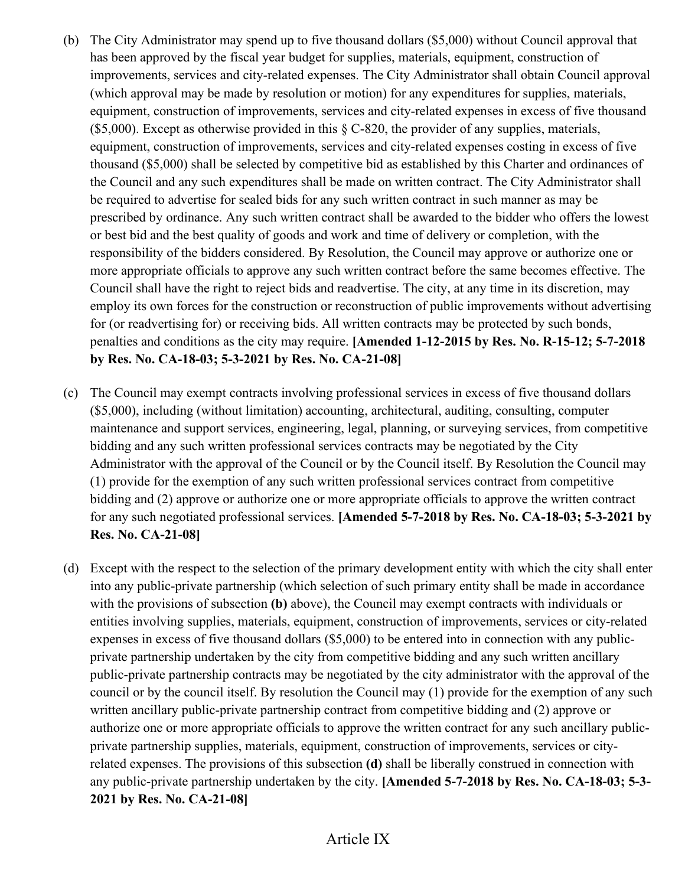- (b) The City Administrator may spend up to five thousand dollars (\$5,000) without Council approval that has been approved by the fiscal year budget for supplies, materials, equipment, construction of improvements, services and city-related expenses. The City Administrator shall obtain Council approval (which approval may be made by resolution or motion) for any expenditures for supplies, materials, equipment, construction of improvements, services and city-related expenses in excess of five thousand  $($5,000)$ . Except as otherwise provided in this  $§ C-820$ , the provider of any supplies, materials, equipment, construction of improvements, services and city-related expenses costing in excess of five thousand (\$5,000) shall be selected by competitive bid as established by this Charter and ordinances of the Council and any such expenditures shall be made on written contract. The City Administrator shall be required to advertise for sealed bids for any such written contract in such manner as may be prescribed by ordinance. Any such written contract shall be awarded to the bidder who offers the lowest or best bid and the best quality of goods and work and time of delivery or completion, with the responsibility of the bidders considered. By Resolution, the Council may approve or authorize one or more appropriate officials to approve any such written contract before the same becomes effective. The Council shall have the right to reject bids and readvertise. The city, at any time in its discretion, may employ its own forces for the construction or reconstruction of public improvements without advertising for (or readvertising for) or receiving bids. All written contracts may be protected by such bonds, penalties and conditions as the city may require. **[Amended 1-12-2015 by Res. No. R-15-12; 5-7-2018 by Res. No. CA-18-03; 5-3-2021 by Res. No. CA-21-08]**
- (c) The Council may exempt contracts involving professional services in excess of five thousand dollars (\$5,000), including (without limitation) accounting, architectural, auditing, consulting, computer maintenance and support services, engineering, legal, planning, or surveying services, from competitive bidding and any such written professional services contracts may be negotiated by the City Administrator with the approval of the Council or by the Council itself. By Resolution the Council may (1) provide for the exemption of any such written professional services contract from competitive bidding and (2) approve or authorize one or more appropriate officials to approve the written contract for any such negotiated professional services. **[Amended 5-7-2018 by Res. No. CA-18-03; 5-3-2021 by Res. No. CA-21-08]**
- (d) Except with the respect to the selection of the primary development entity with which the city shall enter into any public-private partnership (which selection of such primary entity shall be made in accordance with the provisions of subsection **(b)** above), the Council may exempt contracts with individuals or entities involving supplies, materials, equipment, construction of improvements, services or city-related expenses in excess of five thousand dollars (\$5,000) to be entered into in connection with any publicprivate partnership undertaken by the city from competitive bidding and any such written ancillary public-private partnership contracts may be negotiated by the city administrator with the approval of the council or by the council itself. By resolution the Council may (1) provide for the exemption of any such written ancillary public-private partnership contract from competitive bidding and (2) approve or authorize one or more appropriate officials to approve the written contract for any such ancillary publicprivate partnership supplies, materials, equipment, construction of improvements, services or cityrelated expenses. The provisions of this subsection **(d)** shall be liberally construed in connection with any public-private partnership undertaken by the city. **[Amended 5-7-2018 by Res. No. CA-18-03; 5-3- 2021 by Res. No. CA-21-08]**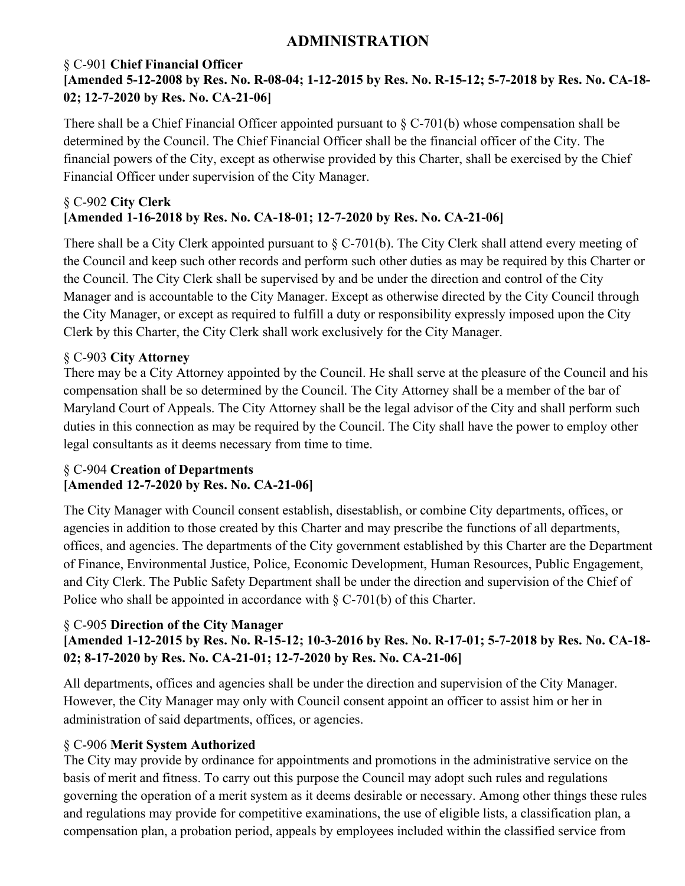### **ADMINISTRATION**

### § C-901 **Chief Financial Officer [Amended 5-12-2008 by Res. No. R-08-04; 1-12-2015 by Res. No. R-15-12; 5-7-2018 by Res. No. CA-18- 02; 12-7-2020 by Res. No. CA-21-06]**

There shall be a Chief Financial Officer appointed pursuant to  $\S C$ -701(b) whose compensation shall be determined by the Council. The Chief Financial Officer shall be the financial officer of the City. The financial powers of the City, except as otherwise provided by this Charter, shall be exercised by the Chief Financial Officer under supervision of the City Manager.

### § C-902 **City Clerk [Amended 1-16-2018 by Res. No. CA-18-01; 12-7-2020 by Res. No. CA-21-06]**

There shall be a City Clerk appointed pursuant to  $\S$  C-701(b). The City Clerk shall attend every meeting of the Council and keep such other records and perform such other duties as may be required by this Charter or the Council. The City Clerk shall be supervised by and be under the direction and control of the City Manager and is accountable to the City Manager. Except as otherwise directed by the City Council through the City Manager, or except as required to fulfill a duty or responsibility expressly imposed upon the City Clerk by this Charter, the City Clerk shall work exclusively for the City Manager.

### § C-903 **City Attorney**

There may be a City Attorney appointed by the Council. He shall serve at the pleasure of the Council and his compensation shall be so determined by the Council. The City Attorney shall be a member of the bar of Maryland Court of Appeals. The City Attorney shall be the legal advisor of the City and shall perform such duties in this connection as may be required by the Council. The City shall have the power to employ other legal consultants as it deems necessary from time to time.

### § C-904 **Creation of Departments [Amended 12-7-2020 by Res. No. CA-21-06]**

The City Manager with Council consent establish, disestablish, or combine City departments, offices, or agencies in addition to those created by this Charter and may prescribe the functions of all departments, offices, and agencies. The departments of the City government established by this Charter are the Department of Finance, Environmental Justice, Police, Economic Development, Human Resources, Public Engagement, and City Clerk. The Public Safety Department shall be under the direction and supervision of the Chief of Police who shall be appointed in accordance with  $\S$  C-701(b) of this Charter.

### § C-905 **Direction of the City Manager**

# **[Amended 1-12-2015 by Res. No. R-15-12; 10-3-2016 by Res. No. R-17-01; 5-7-2018 by Res. No. CA-18- 02; 8-17-2020 by Res. No. CA-21-01; 12-7-2020 by Res. No. CA-21-06]**

All departments, offices and agencies shall be under the direction and supervision of the City Manager. However, the City Manager may only with Council consent appoint an officer to assist him or her in administration of said departments, offices, or agencies.

### § C-906 **Merit System Authorized**

The City may provide by ordinance for appointments and promotions in the administrative service on the basis of merit and fitness. To carry out this purpose the Council may adopt such rules and regulations governing the operation of a merit system as it deems desirable or necessary. Among other things these rules and regulations may provide for competitive examinations, the use of eligible lists, a classification plan, a compensation plan, a probation period, appeals by employees included within the classified service from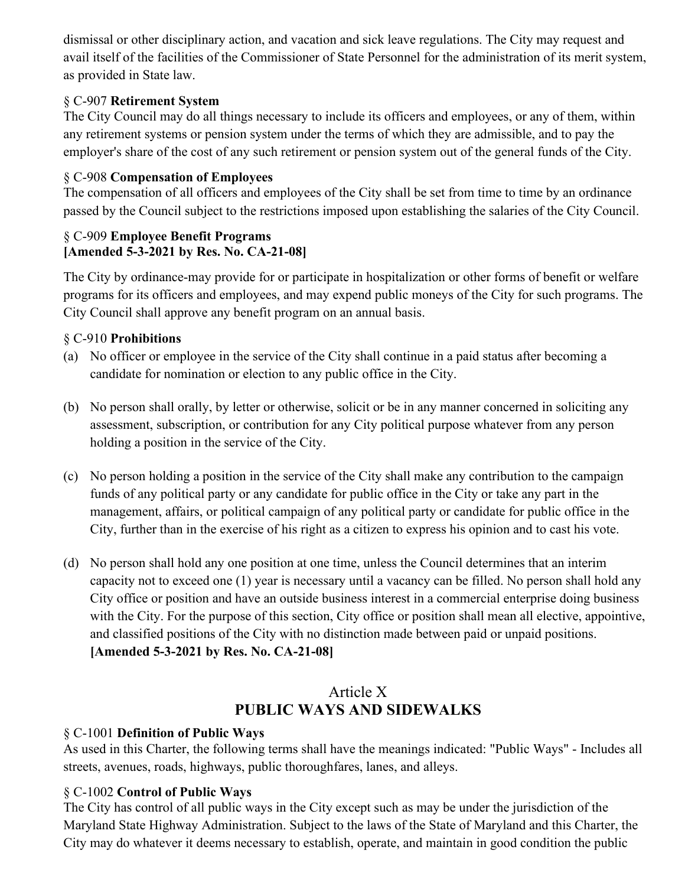dismissal or other disciplinary action, and vacation and sick leave regulations. The City may request and avail itself of the facilities of the Commissioner of State Personnel for the administration of its merit system, as provided in State law.

### § C-907 **Retirement System**

The City Council may do all things necessary to include its officers and employees, or any of them, within any retirement systems or pension system under the terms of which they are admissible, and to pay the employer's share of the cost of any such retirement or pension system out of the general funds of the City.

### § C-908 **Compensation of Employees**

The compensation of all officers and employees of the City shall be set from time to time by an ordinance passed by the Council subject to the restrictions imposed upon establishing the salaries of the City Council.

### § C-909 **Employee Benefit Programs [Amended 5-3-2021 by Res. No. CA-21-08]**

The City by ordinance-may provide for or participate in hospitalization or other forms of benefit or welfare programs for its officers and employees, and may expend public moneys of the City for such programs. The City Council shall approve any benefit program on an annual basis.

### § C-910 **Prohibitions**

- (a) No officer or employee in the service of the City shall continue in a paid status after becoming a candidate for nomination or election to any public office in the City.
- (b) No person shall orally, by letter or otherwise, solicit or be in any manner concerned in soliciting any assessment, subscription, or contribution for any City political purpose whatever from any person holding a position in the service of the City.
- (c) No person holding a position in the service of the City shall make any contribution to the campaign funds of any political party or any candidate for public office in the City or take any part in the management, affairs, or political campaign of any political party or candidate for public office in the City, further than in the exercise of his right as a citizen to express his opinion and to cast his vote.
- (d) No person shall hold any one position at one time, unless the Council determines that an interim capacity not to exceed one (1) year is necessary until a vacancy can be filled. No person shall hold any City office or position and have an outside business interest in a commercial enterprise doing business with the City. For the purpose of this section, City office or position shall mean all elective, appointive, and classified positions of the City with no distinction made between paid or unpaid positions. **[Amended 5-3-2021 by Res. No. CA-21-08]**

# Article X **PUBLIC WAYS AND SIDEWALKS**

### § C-1001 **Definition of Public Ways**

As used in this Charter, the following terms shall have the meanings indicated: "Public Ways" - Includes all streets, avenues, roads, highways, public thoroughfares, lanes, and alleys.

### § C-1002 **Control of Public Ways**

The City has control of all public ways in the City except such as may be under the jurisdiction of the Maryland State Highway Administration. Subject to the laws of the State of Maryland and this Charter, the City may do whatever it deems necessary to establish, operate, and maintain in good condition the public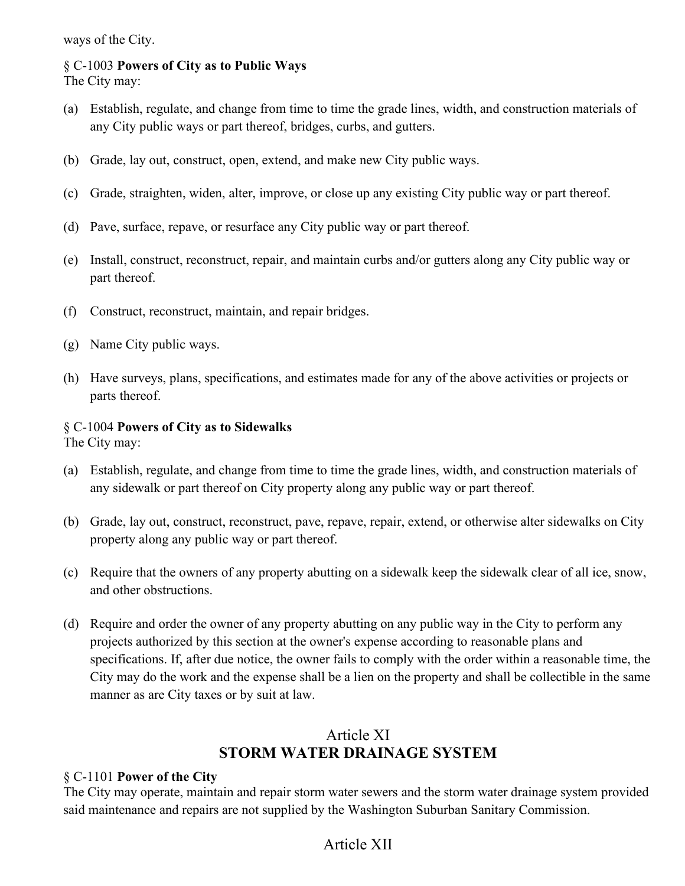ways of the City.

#### § C-1003 **Powers of City as to Public Ways**  The City may:

- (a) Establish, regulate, and change from time to time the grade lines, width, and construction materials of any City public ways or part thereof, bridges, curbs, and gutters.
- (b) Grade, lay out, construct, open, extend, and make new City public ways.
- (c) Grade, straighten, widen, alter, improve, or close up any existing City public way or part thereof.
- (d) Pave, surface, repave, or resurface any City public way or part thereof.
- (e) Install, construct, reconstruct, repair, and maintain curbs and/or gutters along any City public way or part thereof.
- (f) Construct, reconstruct, maintain, and repair bridges.
- (g) Name City public ways.
- (h) Have surveys, plans, specifications, and estimates made for any of the above activities or projects or parts thereof.

### § C-1004 **Powers of City as to Sidewalks**

The City may:

- (a) Establish, regulate, and change from time to time the grade lines, width, and construction materials of any sidewalk or part thereof on City property along any public way or part thereof.
- (b) Grade, lay out, construct, reconstruct, pave, repave, repair, extend, or otherwise alter sidewalks on City property along any public way or part thereof.
- (c) Require that the owners of any property abutting on a sidewalk keep the sidewalk clear of all ice, snow, and other obstructions.
- (d) Require and order the owner of any property abutting on any public way in the City to perform any projects authorized by this section at the owner's expense according to reasonable plans and specifications. If, after due notice, the owner fails to comply with the order within a reasonable time, the City may do the work and the expense shall be a lien on the property and shall be collectible in the same manner as are City taxes or by suit at law.

# Article XI **STORM WATER DRAINAGE SYSTEM**

### § C-1101 **Power of the City**

The City may operate, maintain and repair storm water sewers and the storm water drainage system provided said maintenance and repairs are not supplied by the Washington Suburban Sanitary Commission.

# Article XII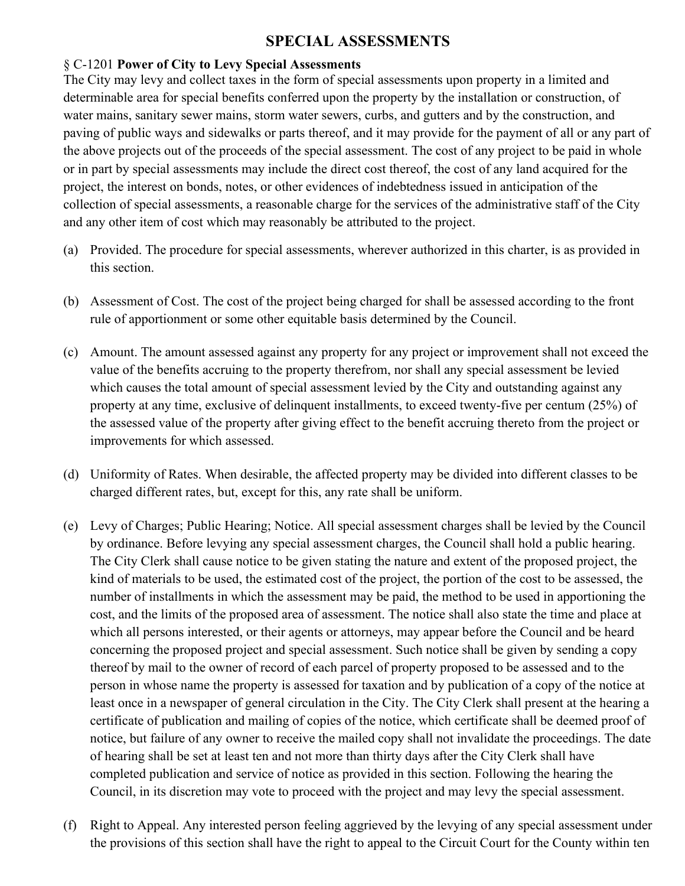# **SPECIAL ASSESSMENTS**

#### § C-1201 **Power of City to Levy Special Assessments**

The City may levy and collect taxes in the form of special assessments upon property in a limited and determinable area for special benefits conferred upon the property by the installation or construction, of water mains, sanitary sewer mains, storm water sewers, curbs, and gutters and by the construction, and paving of public ways and sidewalks or parts thereof, and it may provide for the payment of all or any part of the above projects out of the proceeds of the special assessment. The cost of any project to be paid in whole or in part by special assessments may include the direct cost thereof, the cost of any land acquired for the project, the interest on bonds, notes, or other evidences of indebtedness issued in anticipation of the collection of special assessments, a reasonable charge for the services of the administrative staff of the City and any other item of cost which may reasonably be attributed to the project.

- (a) Provided. The procedure for special assessments, wherever authorized in this charter, is as provided in this section.
- (b) Assessment of Cost. The cost of the project being charged for shall be assessed according to the front rule of apportionment or some other equitable basis determined by the Council.
- (c) Amount. The amount assessed against any property for any project or improvement shall not exceed the value of the benefits accruing to the property therefrom, nor shall any special assessment be levied which causes the total amount of special assessment levied by the City and outstanding against any property at any time, exclusive of delinquent installments, to exceed twenty-five per centum (25%) of the assessed value of the property after giving effect to the benefit accruing thereto from the project or improvements for which assessed.
- (d) Uniformity of Rates. When desirable, the affected property may be divided into different classes to be charged different rates, but, except for this, any rate shall be uniform.
- (e) Levy of Charges; Public Hearing; Notice. All special assessment charges shall be levied by the Council by ordinance. Before levying any special assessment charges, the Council shall hold a public hearing. The City Clerk shall cause notice to be given stating the nature and extent of the proposed project, the kind of materials to be used, the estimated cost of the project, the portion of the cost to be assessed, the number of installments in which the assessment may be paid, the method to be used in apportioning the cost, and the limits of the proposed area of assessment. The notice shall also state the time and place at which all persons interested, or their agents or attorneys, may appear before the Council and be heard concerning the proposed project and special assessment. Such notice shall be given by sending a copy thereof by mail to the owner of record of each parcel of property proposed to be assessed and to the person in whose name the property is assessed for taxation and by publication of a copy of the notice at least once in a newspaper of general circulation in the City. The City Clerk shall present at the hearing a certificate of publication and mailing of copies of the notice, which certificate shall be deemed proof of notice, but failure of any owner to receive the mailed copy shall not invalidate the proceedings. The date of hearing shall be set at least ten and not more than thirty days after the City Clerk shall have completed publication and service of notice as provided in this section. Following the hearing the Council, in its discretion may vote to proceed with the project and may levy the special assessment.
- (f) Right to Appeal. Any interested person feeling aggrieved by the levying of any special assessment under the provisions of this section shall have the right to appeal to the Circuit Court for the County within ten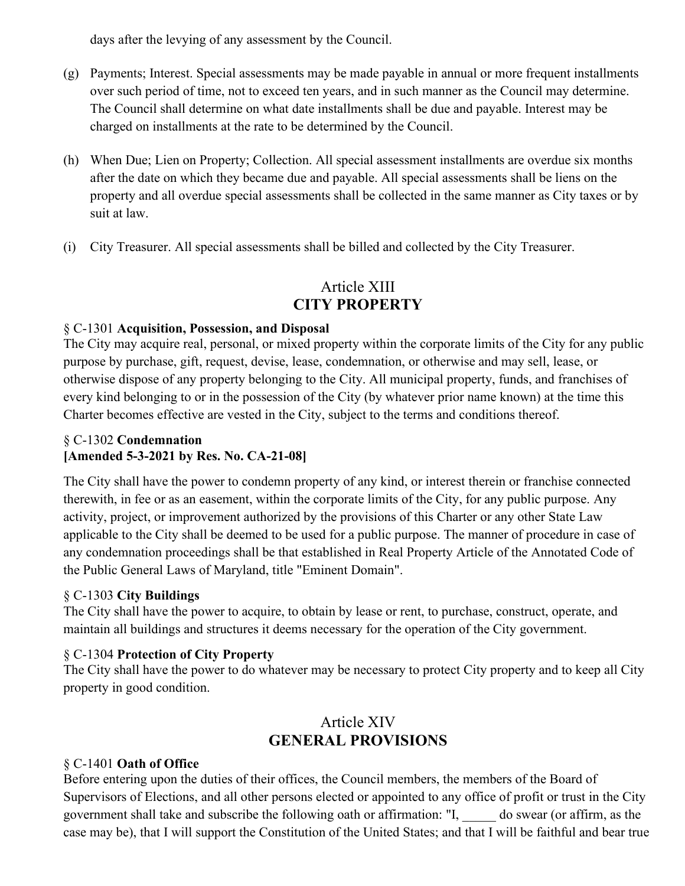days after the levying of any assessment by the Council.

- (g) Payments; Interest. Special assessments may be made payable in annual or more frequent installments over such period of time, not to exceed ten years, and in such manner as the Council may determine. The Council shall determine on what date installments shall be due and payable. Interest may be charged on installments at the rate to be determined by the Council.
- (h) When Due; Lien on Property; Collection. All special assessment installments are overdue six months after the date on which they became due and payable. All special assessments shall be liens on the property and all overdue special assessments shall be collected in the same manner as City taxes or by suit at law.
- (i) City Treasurer. All special assessments shall be billed and collected by the City Treasurer.

# Article XIII **CITY PROPERTY**

### § C-1301 **Acquisition, Possession, and Disposal**

The City may acquire real, personal, or mixed property within the corporate limits of the City for any public purpose by purchase, gift, request, devise, lease, condemnation, or otherwise and may sell, lease, or otherwise dispose of any property belonging to the City. All municipal property, funds, and franchises of every kind belonging to or in the possession of the City (by whatever prior name known) at the time this Charter becomes effective are vested in the City, subject to the terms and conditions thereof.

### § C-1302 **Condemnation [Amended 5-3-2021 by Res. No. CA-21-08]**

The City shall have the power to condemn property of any kind, or interest therein or franchise connected therewith, in fee or as an easement, within the corporate limits of the City, for any public purpose. Any activity, project, or improvement authorized by the provisions of this Charter or any other State Law applicable to the City shall be deemed to be used for a public purpose. The manner of procedure in case of any condemnation proceedings shall be that established in Real Property Article of the Annotated Code of the Public General Laws of Maryland, title "Eminent Domain".

### § C-1303 **City Buildings**

The City shall have the power to acquire, to obtain by lease or rent, to purchase, construct, operate, and maintain all buildings and structures it deems necessary for the operation of the City government.

### § C-1304 **Protection of City Property**

The City shall have the power to do whatever may be necessary to protect City property and to keep all City property in good condition.

# Article XIV **GENERAL PROVISIONS**

### § C-1401 **Oath of Office**

Before entering upon the duties of their offices, the Council members, the members of the Board of Supervisors of Elections, and all other persons elected or appointed to any office of profit or trust in the City government shall take and subscribe the following oath or affirmation: "I, \_\_\_\_\_ do swear (or affirm, as the case may be), that I will support the Constitution of the United States; and that I will be faithful and bear true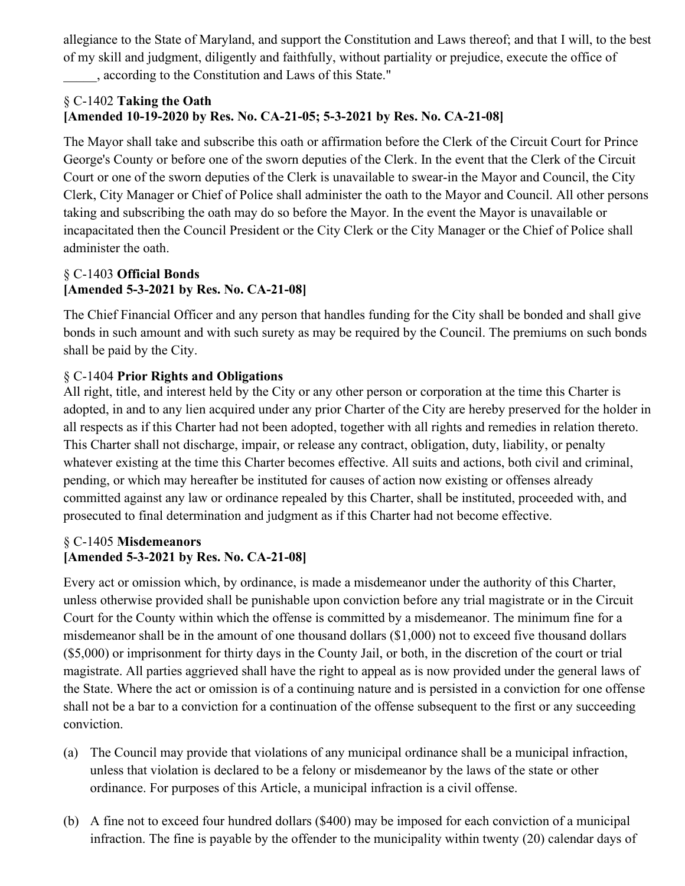allegiance to the State of Maryland, and support the Constitution and Laws thereof; and that I will, to the best of my skill and judgment, diligently and faithfully, without partiality or prejudice, execute the office of \_\_\_\_\_, according to the Constitution and Laws of this State."

### § C-1402 **Taking the Oath [Amended 10-19-2020 by Res. No. CA-21-05; 5-3-2021 by Res. No. CA-21-08]**

The Mayor shall take and subscribe this oath or affirmation before the Clerk of the Circuit Court for Prince George's County or before one of the sworn deputies of the Clerk. In the event that the Clerk of the Circuit Court or one of the sworn deputies of the Clerk is unavailable to swear-in the Mayor and Council, the City Clerk, City Manager or Chief of Police shall administer the oath to the Mayor and Council. All other persons taking and subscribing the oath may do so before the Mayor. In the event the Mayor is unavailable or incapacitated then the Council President or the City Clerk or the City Manager or the Chief of Police shall administer the oath.

### § C-1403 **Official Bonds [Amended 5-3-2021 by Res. No. CA-21-08]**

The Chief Financial Officer and any person that handles funding for the City shall be bonded and shall give bonds in such amount and with such surety as may be required by the Council. The premiums on such bonds shall be paid by the City.

### § C-1404 **Prior Rights and Obligations**

All right, title, and interest held by the City or any other person or corporation at the time this Charter is adopted, in and to any lien acquired under any prior Charter of the City are hereby preserved for the holder in all respects as if this Charter had not been adopted, together with all rights and remedies in relation thereto. This Charter shall not discharge, impair, or release any contract, obligation, duty, liability, or penalty whatever existing at the time this Charter becomes effective. All suits and actions, both civil and criminal, pending, or which may hereafter be instituted for causes of action now existing or offenses already committed against any law or ordinance repealed by this Charter, shall be instituted, proceeded with, and prosecuted to final determination and judgment as if this Charter had not become effective.

### § C-1405 **Misdemeanors [Amended 5-3-2021 by Res. No. CA-21-08]**

Every act or omission which, by ordinance, is made a misdemeanor under the authority of this Charter, unless otherwise provided shall be punishable upon conviction before any trial magistrate or in the Circuit Court for the County within which the offense is committed by a misdemeanor. The minimum fine for a misdemeanor shall be in the amount of one thousand dollars (\$1,000) not to exceed five thousand dollars (\$5,000) or imprisonment for thirty days in the County Jail, or both, in the discretion of the court or trial magistrate. All parties aggrieved shall have the right to appeal as is now provided under the general laws of the State. Where the act or omission is of a continuing nature and is persisted in a conviction for one offense shall not be a bar to a conviction for a continuation of the offense subsequent to the first or any succeeding conviction.

- (a) The Council may provide that violations of any municipal ordinance shall be a municipal infraction, unless that violation is declared to be a felony or misdemeanor by the laws of the state or other ordinance. For purposes of this Article, a municipal infraction is a civil offense.
- (b) A fine not to exceed four hundred dollars (\$400) may be imposed for each conviction of a municipal infraction. The fine is payable by the offender to the municipality within twenty (20) calendar days of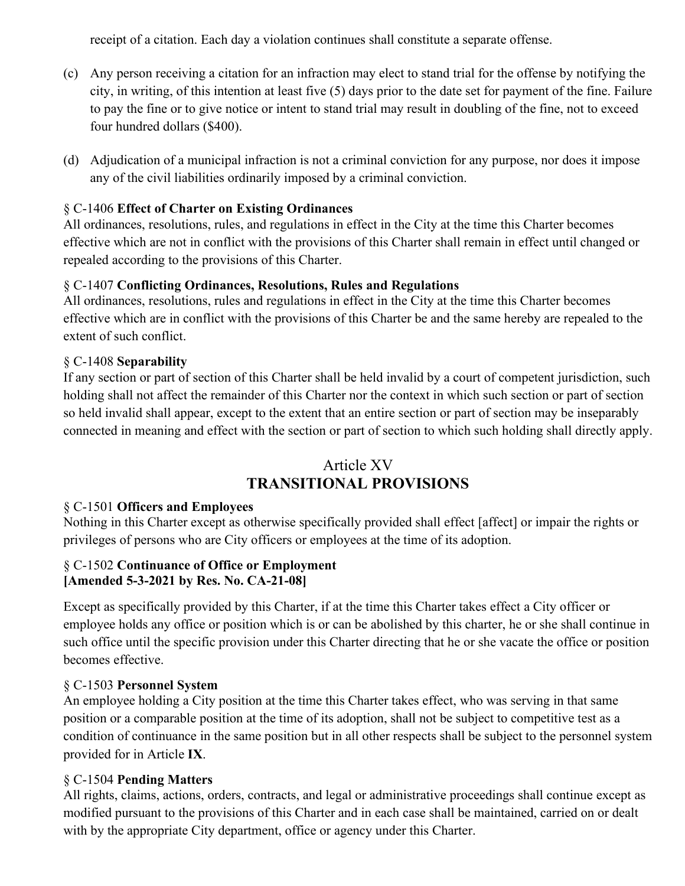receipt of a citation. Each day a violation continues shall constitute a separate offense.

- (c) Any person receiving a citation for an infraction may elect to stand trial for the offense by notifying the city, in writing, of this intention at least five (5) days prior to the date set for payment of the fine. Failure to pay the fine or to give notice or intent to stand trial may result in doubling of the fine, not to exceed four hundred dollars (\$400).
- (d) Adjudication of a municipal infraction is not a criminal conviction for any purpose, nor does it impose any of the civil liabilities ordinarily imposed by a criminal conviction.

### § C-1406 **Effect of Charter on Existing Ordinances**

All ordinances, resolutions, rules, and regulations in effect in the City at the time this Charter becomes effective which are not in conflict with the provisions of this Charter shall remain in effect until changed or repealed according to the provisions of this Charter.

### § C-1407 **Conflicting Ordinances, Resolutions, Rules and Regulations**

All ordinances, resolutions, rules and regulations in effect in the City at the time this Charter becomes effective which are in conflict with the provisions of this Charter be and the same hereby are repealed to the extent of such conflict.

### § C-1408 **Separability**

If any section or part of section of this Charter shall be held invalid by a court of competent jurisdiction, such holding shall not affect the remainder of this Charter nor the context in which such section or part of section so held invalid shall appear, except to the extent that an entire section or part of section may be inseparably connected in meaning and effect with the section or part of section to which such holding shall directly apply.

### Article XV **TRANSITIONAL PROVISIONS**

### § C-1501 **Officers and Employees**

Nothing in this Charter except as otherwise specifically provided shall effect [affect] or impair the rights or privileges of persons who are City officers or employees at the time of its adoption.

#### § C-1502 **Continuance of Office or Employment [Amended 5-3-2021 by Res. No. CA-21-08]**

Except as specifically provided by this Charter, if at the time this Charter takes effect a City officer or employee holds any office or position which is or can be abolished by this charter, he or she shall continue in such office until the specific provision under this Charter directing that he or she vacate the office or position becomes effective.

### § C-1503 **Personnel System**

An employee holding a City position at the time this Charter takes effect, who was serving in that same position or a comparable position at the time of its adoption, shall not be subject to competitive test as a condition of continuance in the same position but in all other respects shall be subject to the personnel system provided for in Article **IX**.

### § C-1504 **Pending Matters**

All rights, claims, actions, orders, contracts, and legal or administrative proceedings shall continue except as modified pursuant to the provisions of this Charter and in each case shall be maintained, carried on or dealt with by the appropriate City department, office or agency under this Charter.